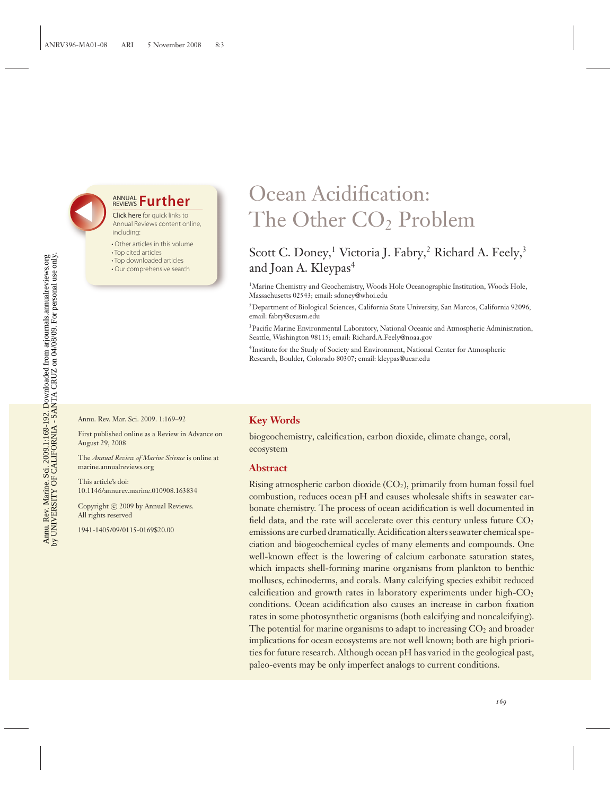## **ANNUAL Further**

Click here for quick links to Annual Reviews content online, including:

- Other articles in this volume
- Top cited articles
- Top downloaded articles
- Our comprehensive search

# Ocean Acidification: The Other CO<sub>2</sub> Problem

## Scott C. Doney,<sup>1</sup> Victoria J. Fabry,<sup>2</sup> Richard A. Feely,<sup>3</sup> and Joan A. Kleypas<sup>4</sup>

<sup>1</sup>Marine Chemistry and Geochemistry, Woods Hole Oceanographic Institution, Woods Hole, Massachusetts 02543; email: sdoney@whoi.edu

2Department of Biological Sciences, California State University, San Marcos, California 92096; email: fabry@csusm.edu

<sup>3</sup> Pacific Marine Environmental Laboratory, National Oceanic and Atmospheric Administration, Seattle, Washington 98115; email: Richard.A.Feely@noaa.gov

4Institute for the Study of Society and Environment, National Center for Atmospheric Research, Boulder, Colorado 80307; email: kleypas@ucar.edu

Annu. Rev. Mar. Sci. 2009. 1:169–92

First published online as a Review in Advance on August 29, 2008

The *Annual Review of Marine Science* is online at marine.annualreviews.org

This article's doi: 10.1146/annurev.marine.010908.163834

Copyright © 2009 by Annual Reviews. All rights reserved

1941-1405/09/0115-0169\$20.00

#### **Key Words**

biogeochemistry, calcification, carbon dioxide, climate change, coral, ecosystem

#### **Abstract**

Rising atmospheric carbon dioxide  $(CO<sub>2</sub>)$ , primarily from human fossil fuel combustion, reduces ocean pH and causes wholesale shifts in seawater carbonate chemistry. The process of ocean acidification is well documented in field data, and the rate will accelerate over this century unless future  $CO<sub>2</sub>$ emissions are curbed dramatically. Acidification alters seawater chemical speciation and biogeochemical cycles of many elements and compounds. One well-known effect is the lowering of calcium carbonate saturation states, which impacts shell-forming marine organisms from plankton to benthic molluscs, echinoderms, and corals. Many calcifying species exhibit reduced calcification and growth rates in laboratory experiments under high- $CO<sub>2</sub>$ conditions. Ocean acidification also causes an increase in carbon fixation rates in some photosynthetic organisms (both calcifying and noncalcifying). The potential for marine organisms to adapt to increasing  $CO<sub>2</sub>$  and broader implications for ocean ecosystems are not well known; both are high priorities for future research. Although ocean pH has varied in the geological past, paleo-events may be only imperfect analogs to current conditions.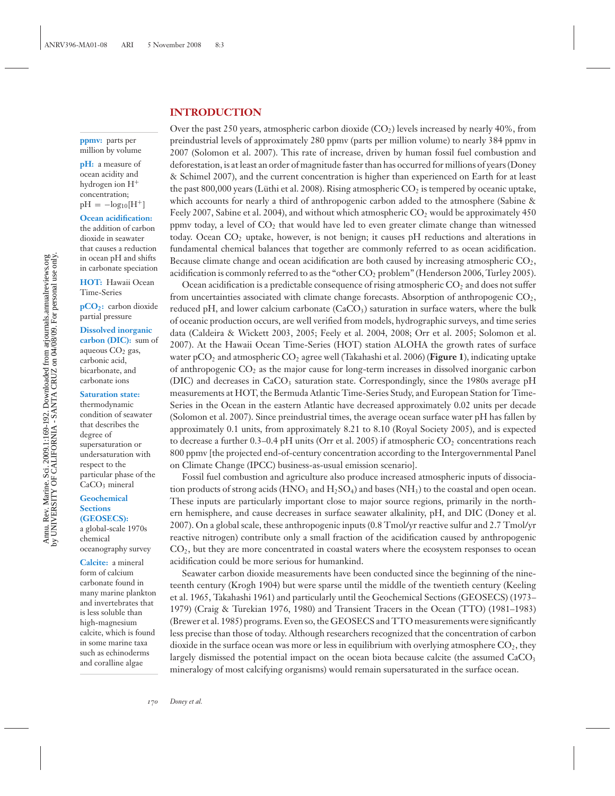#### **INTRODUCTION**

**ppmv:** parts per million by volume

**pH:** a measure of ocean acidity and hydrogen ion H+ concentration;  $pH = -log_{10}[H^+]$ 

**Ocean acidification:** the addition of carbon dioxide in seawater that causes a reduction in ocean pH and shifts in carbonate speciation

**HOT:** Hawaii Ocean Time-Series

**pCO2:** carbon dioxide partial pressure

#### **Dissolved inorganic**

**carbon (DIC):** sum of aqueous  $CO<sub>2</sub>$  gas, carbonic acid, bicarbonate, and carbonate ions

#### **Saturation state:**

thermodynamic condition of seawater that describes the degree of supersaturation or undersaturation with respect to the particular phase of the CaCO<sub>3</sub> mineral

#### **Geochemical Sections (GEOSECS):**

a global-scale 1970s chemical oceanography survey

**Calcite:** a mineral form of calcium carbonate found in many marine plankton and invertebrates that is less soluble than high-magnesium calcite, which is found in some marine taxa such as echinoderms and coralline algae

Over the past 250 years, atmospheric carbon dioxide  $(CO<sub>2</sub>)$  levels increased by nearly 40%, from preindustrial levels of approximately 280 ppmv (parts per million volume) to nearly 384 ppmv in 2007 (Solomon et al. 2007). This rate of increase, driven by human fossil fuel combustion and deforestation, is at least an order of magnitude faster than has occurred for millions of years (Doney & Schimel 2007), and the current concentration is higher than experienced on Earth for at least the past 800,000 years (Lüthi et al. 2008). Rising atmospheric  $CO_2$  is tempered by oceanic uptake, which accounts for nearly a third of anthropogenic carbon added to the atmosphere (Sabine & Feely 2007, Sabine et al. 2004), and without which atmospheric  $CO<sub>2</sub>$  would be approximately 450 ppmv today, a level of CO2 that would have led to even greater climate change than witnessed today. Ocean  $CO<sub>2</sub>$  uptake, however, is not benign; it causes pH reductions and alterations in fundamental chemical balances that together are commonly referred to as ocean acidification. Because climate change and ocean acidification are both caused by increasing atmospheric  $CO<sub>2</sub>$ , acidification is commonly referred to as the "other CO<sub>2</sub> problem" (Henderson 2006, Turley 2005).

Ocean acidification is a predictable consequence of rising atmospheric  $CO<sub>2</sub>$  and does not suffer from uncertainties associated with climate change forecasts. Absorption of anthropogenic CO2, reduced pH, and lower calcium carbonate  $(CaCO<sub>3</sub>)$  saturation in surface waters, where the bulk of oceanic production occurs, are well verified from models, hydrographic surveys, and time series data (Caldeira & Wickett 2003, 2005; Feely et al. 2004, 2008; Orr et al. 2005; Solomon et al. 2007). At the Hawaii Ocean Time-Series (HOT) station ALOHA the growth rates of surface water pCO<sub>2</sub> and atmospheric CO<sub>2</sub> agree well (Takahashi et al. 2006) (**Figure 1**), indicating uptake of anthropogenic  $CO<sub>2</sub>$  as the major cause for long-term increases in dissolved inorganic carbon (DIC) and decreases in  $CaCO<sub>3</sub>$  saturation state. Correspondingly, since the 1980s average pH measurements at HOT, the Bermuda Atlantic Time-Series Study, and European Station for Time-Series in the Ocean in the eastern Atlantic have decreased approximately 0.02 units per decade (Solomon et al. 2007). Since preindustrial times, the average ocean surface water pH has fallen by approximately 0.1 units, from approximately 8.21 to 8.10 (Royal Society 2005), and is expected to decrease a further  $0.3-0.4$  pH units (Orr et al. 2005) if atmospheric  $CO<sub>2</sub>$  concentrations reach 800 ppmv [the projected end-of-century concentration according to the Intergovernmental Panel on Climate Change (IPCC) business-as-usual emission scenario].

Fossil fuel combustion and agriculture also produce increased atmospheric inputs of dissociation products of strong acids  $(HNO_3$  and  $H_2SO_4)$  and bases  $(NH_3)$  to the coastal and open ocean. These inputs are particularly important close to major source regions, primarily in the northern hemisphere, and cause decreases in surface seawater alkalinity, pH, and DIC (Doney et al. 2007). On a global scale, these anthropogenic inputs (0.8 Tmol/yr reactive sulfur and 2.7 Tmol/yr reactive nitrogen) contribute only a small fraction of the acidification caused by anthropogenic  $CO<sub>2</sub>$ , but they are more concentrated in coastal waters where the ecosystem responses to ocean acidification could be more serious for humankind.

Seawater carbon dioxide measurements have been conducted since the beginning of the nineteenth century (Krogh 1904) but were sparse until the middle of the twentieth century (Keeling et al. 1965, Takahashi 1961) and particularly until the Geochemical Sections (GEOSECS) (1973– 1979) (Craig & Turekian 1976, 1980) and Transient Tracers in the Ocean (TTO) (1981–1983) (Brewer et al. 1985) programs. Even so, the GEOSECS and TTO measurements were significantly less precise than those of today. Although researchers recognized that the concentration of carbon dioxide in the surface ocean was more or less in equilibrium with overlying atmosphere  $CO<sub>2</sub>$ , they largely dismissed the potential impact on the ocean biota because calcite (the assumed  $CaCO<sub>3</sub>$ mineralogy of most calcifying organisms) would remain supersaturated in the surface ocean.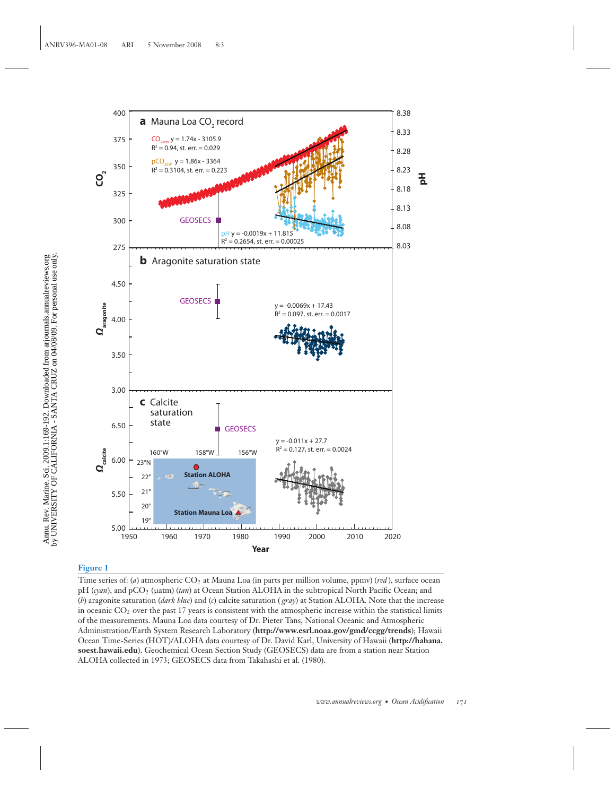

#### **Figure 1**

Time series of: (*a*) atmospheric CO2 at Mauna Loa (in parts per million volume, ppmv) (*red* ), surface ocean pH (*cyan*), and pCO2 (μatm) (*tan*) at Ocean Station ALOHA in the subtropical North Pacific Ocean; and (*b*) aragonite saturation (*dark blue*) and (*c*) calcite saturation ( *gray*) at Station ALOHA. Note that the increase in oceanic  $CO<sub>2</sub>$  over the past 17 years is consistent with the atmospheric increase within the statistical limits of the measurements. Mauna Loa data courtesy of Dr. Pieter Tans, National Oceanic and Atmospheric Administration/Earth System Research Laboratory (**http://www.esrl.noaa.gov/gmd/ccgg/trends**); Hawaii Ocean Time-Series (HOT)/ALOHA data courtesy of Dr. David Karl, University of Hawaii (**http://hahana. soest.hawaii.edu**). Geochemical Ocean Section Study (GEOSECS) data are from a station near Station ALOHA collected in 1973; GEOSECS data from Takahashi et al. (1980).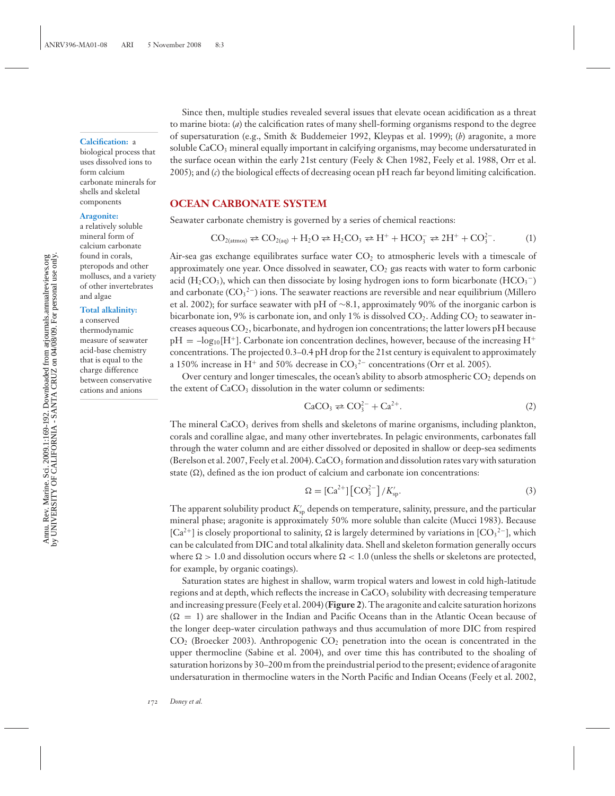#### **Calcification:** a

biological process that uses dissolved ions to form calcium carbonate minerals for shells and skeletal components

#### **Aragonite:**

a relatively soluble mineral form of calcium carbonate found in corals, pteropods and other molluscs, and a variety of other invertebrates and algae

#### **Total alkalinity:**

a conserved thermodynamic measure of seawater acid-base chemistry that is equal to the charge difference between conservative cations and anions

Since then, multiple studies revealed several issues that elevate ocean acidification as a threat to marine biota: (*a*) the calcification rates of many shell-forming organisms respond to the degree of supersaturation (e.g., Smith & Buddemeier 1992, Kleypas et al. 1999); (*b*) aragonite, a more soluble  $CaCO<sub>3</sub>$  mineral equally important in calcifying organisms, may become undersaturated in the surface ocean within the early 21st century (Feely & Chen 1982, Feely et al. 1988, Orr et al. 2005); and (*c*) the biological effects of decreasing ocean pH reach far beyond limiting calcification.

#### **OCEAN CARBONATE SYSTEM**

Seawater carbonate chemistry is governed by a series of chemical reactions:

$$
CO_{2(\text{atmos})} \rightleftarrows CO_{2(\text{aq})} + H_2O \rightleftarrows H_2CO_3 \rightleftarrows H^+ + HCO_3^- \rightleftarrows 2H^+ + CO_3^{2-}.
$$
 (1)

Air-sea gas exchange equilibrates surface water  $CO<sub>2</sub>$  to atmospheric levels with a timescale of approximately one year. Once dissolved in seawater,  $CO<sub>2</sub>$  gas reacts with water to form carbonic acid (H<sub>2</sub>CO<sub>3</sub>), which can then dissociate by losing hydrogen ions to form bicarbonate (HCO<sub>3</sub><sup>-</sup>) and carbonate  $(CO<sub>3</sub><sup>2</sup>-)$  ions. The seawater reactions are reversible and near equilibrium (Millero et al. 2002); for surface seawater with pH of ∼8.1, approximately 90% of the inorganic carbon is bicarbonate ion, 9% is carbonate ion, and only 1% is dissolved  $CO<sub>2</sub>$ . Adding  $CO<sub>2</sub>$  to seawater increases aqueous  $CO<sub>2</sub>$ , bicarbonate, and hydrogen ion concentrations; the latter lowers pH because  $pH = -log_{10}[H^+]$ . Carbonate ion concentration declines, however, because of the increasing H<sup>+</sup> concentrations. The projected 0.3–0.4 pH drop for the 21st century is equivalent to approximately a 150% increase in H<sup>+</sup> and 50% decrease in  $CO<sub>3</sub><sup>2-</sup>$  concentrations (Orr et al. 2005).

Over century and longer timescales, the ocean's ability to absorb atmospheric  $CO<sub>2</sub>$  depends on the extent of  $CaCO<sub>3</sub>$  dissolution in the water column or sediments:

$$
\text{CaCO}_3 \rightleftarrows \text{CO}_3^{2-} + \text{Ca}^{2+}.
$$

The mineral CaCO<sub>3</sub> derives from shells and skeletons of marine organisms, including plankton, corals and coralline algae, and many other invertebrates. In pelagic environments, carbonates fall through the water column and are either dissolved or deposited in shallow or deep-sea sediments (Berelson et al. 2007, Feely et al. 2004).  $CaCO<sub>3</sub>$  formation and dissolution rates vary with saturation state  $(\Omega)$ , defined as the ion product of calcium and carbonate ion concentrations:

$$
\Omega = \left[ \text{Ca}^{2+} \right] \left[ \text{CO}^{2-} \right] / K_{\text{sp}}'. \tag{3}
$$

The apparent solubility product  $K'_{\rm{sp}}$  depends on temperature, salinity, pressure, and the particular mineral phase; aragonite is approximately 50% more soluble than calcite (Mucci 1983). Because [Ca<sup>2+</sup>] is closely proportional to salinity,  $\Omega$  is largely determined by variations in [CO<sub>3</sub><sup>2-</sup>], which can be calculated from DIC and total alkalinity data. Shell and skeleton formation generally occurs where  $\Omega > 1.0$  and dissolution occurs where  $\Omega < 1.0$  (unless the shells or skeletons are protected, for example, by organic coatings).

Saturation states are highest in shallow, warm tropical waters and lowest in cold high-latitude regions and at depth, which reflects the increase in CaCO<sub>3</sub> solubility with decreasing temperature and increasing pressure (Feely et al. 2004) (**Figure 2**). The aragonite and calcite saturation horizons  $(\Omega = 1)$  are shallower in the Indian and Pacific Oceans than in the Atlantic Ocean because of the longer deep-water circulation pathways and thus accumulation of more DIC from respired  $CO<sub>2</sub>$  (Broecker 2003). Anthropogenic  $CO<sub>2</sub>$  penetration into the ocean is concentrated in the upper thermocline (Sabine et al. 2004), and over time this has contributed to the shoaling of saturation horizons by 30–200 m from the preindustrial period to the present; evidence of aragonite undersaturation in thermocline waters in the North Pacific and Indian Oceans (Feely et al. 2002,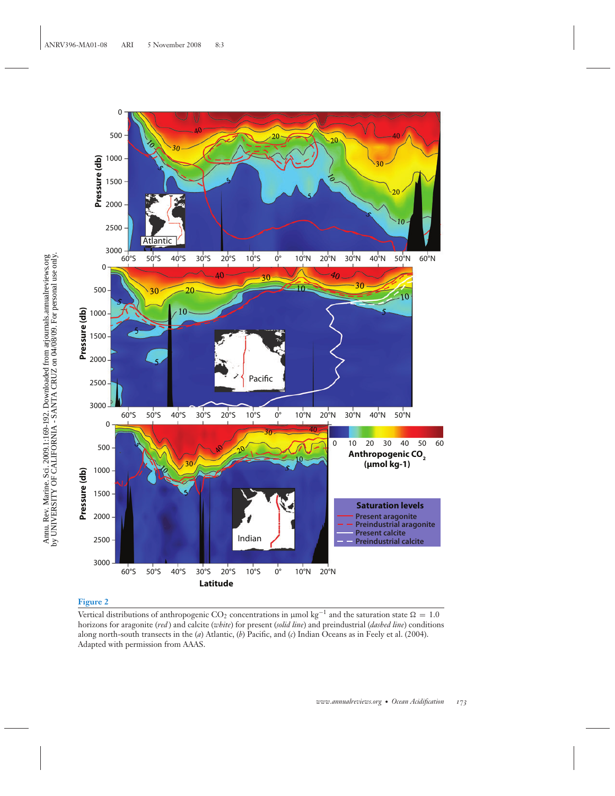

#### **Figure 2**

Vertical distributions of anthropogenic CO<sub>2</sub> concentrations in µmol kg<sup>-1</sup> and the saturation state  $\Omega = 1.0$ horizons for aragonite (*red* ) and calcite (*white*) for present (*solid line*) and preindustrial (*dashed line*) conditions along north-south transects in the (*a*) Atlantic, (*b*) Pacific, and (*c*) Indian Oceans as in Feely et al. (2004). Adapted with permission from AAAS.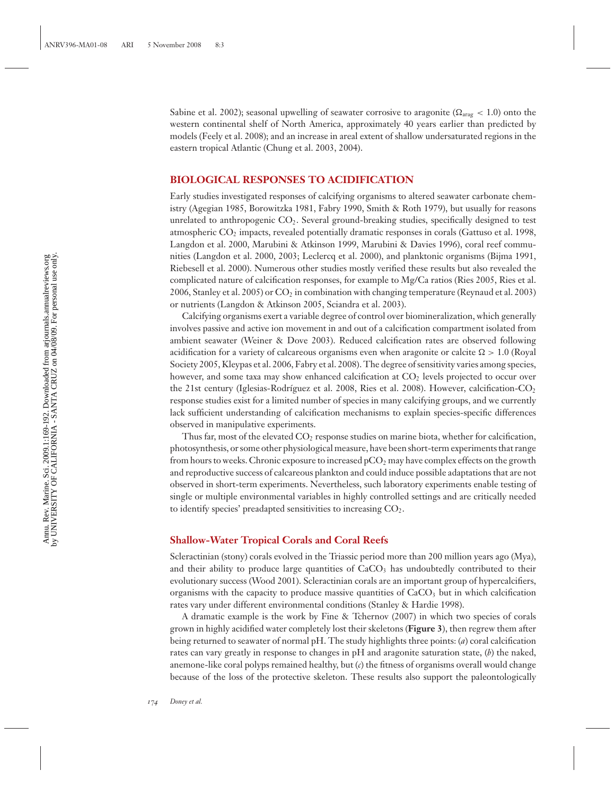Sabine et al. 2002); seasonal upwelling of seawater corrosive to aragonite ( $\Omega_{\text{arag}} < 1.0$ ) onto the western continental shelf of North America, approximately 40 years earlier than predicted by models (Feely et al. 2008); and an increase in areal extent of shallow undersaturated regions in the eastern tropical Atlantic (Chung et al. 2003, 2004).

#### **BIOLOGICAL RESPONSES TO ACIDIFICATION**

Early studies investigated responses of calcifying organisms to altered seawater carbonate chemistry (Agegian 1985, Borowitzka 1981, Fabry 1990, Smith & Roth 1979), but usually for reasons unrelated to anthropogenic  $CO<sub>2</sub>$ . Several ground-breaking studies, specifically designed to test atmospheric CO2 impacts, revealed potentially dramatic responses in corals (Gattuso et al. 1998, Langdon et al. 2000, Marubini & Atkinson 1999, Marubini & Davies 1996), coral reef communities (Langdon et al. 2000, 2003; Leclercq et al. 2000), and planktonic organisms (Bijma 1991, Riebesell et al. 2000). Numerous other studies mostly verified these results but also revealed the complicated nature of calcification responses, for example to Mg/Ca ratios (Ries 2005, Ries et al. 2006, Stanley et al. 2005) or  $CO<sub>2</sub>$  in combination with changing temperature (Reynaud et al. 2003) or nutrients (Langdon & Atkinson 2005, Sciandra et al. 2003).

Calcifying organisms exert a variable degree of control over biomineralization, which generally involves passive and active ion movement in and out of a calcification compartment isolated from ambient seawater (Weiner & Dove 2003). Reduced calcification rates are observed following acidification for a variety of calcareous organisms even when aragonite or calcite  $\Omega > 1.0$  (Royal Society 2005, Kleypas et al. 2006, Fabry et al. 2008). The degree of sensitivity varies among species, however, and some taxa may show enhanced calcification at  $CO<sub>2</sub>$  levels projected to occur over the 21st century (Iglesias-Rodríguez et al. 2008, Ries et al. 2008). However, calcification- $CO<sub>2</sub>$ response studies exist for a limited number of species in many calcifying groups, and we currently lack sufficient understanding of calcification mechanisms to explain species-specific differences observed in manipulative experiments.

Thus far, most of the elevated  $CO<sub>2</sub>$  response studies on marine biota, whether for calcification, photosynthesis, or some other physiological measure, have been short-term experiments that range from hours to weeks. Chronic exposure to increased  $pCO<sub>2</sub>$  may have complex effects on the growth and reproductive success of calcareous plankton and could induce possible adaptations that are not observed in short-term experiments. Nevertheless, such laboratory experiments enable testing of single or multiple environmental variables in highly controlled settings and are critically needed to identify species' preadapted sensitivities to increasing  $CO<sub>2</sub>$ .

#### **Shallow-Water Tropical Corals and Coral Reefs**

Scleractinian (stony) corals evolved in the Triassic period more than 200 million years ago (Mya), and their ability to produce large quantities of  $CaCO<sub>3</sub>$  has undoubtedly contributed to their evolutionary success (Wood 2001). Scleractinian corals are an important group of hypercalcifiers, organisms with the capacity to produce massive quantities of  $CaCO<sub>3</sub>$  but in which calcification rates vary under different environmental conditions (Stanley & Hardie 1998).

A dramatic example is the work by Fine & Tchernov (2007) in which two species of corals grown in highly acidified water completely lost their skeletons (**Figure 3**), then regrew them after being returned to seawater of normal pH. The study highlights three points: (*a*) coral calcification rates can vary greatly in response to changes in pH and aragonite saturation state, (*b*) the naked, anemone-like coral polyps remained healthy, but (*c*) the fitness of organisms overall would change because of the loss of the protective skeleton. These results also support the paleontologically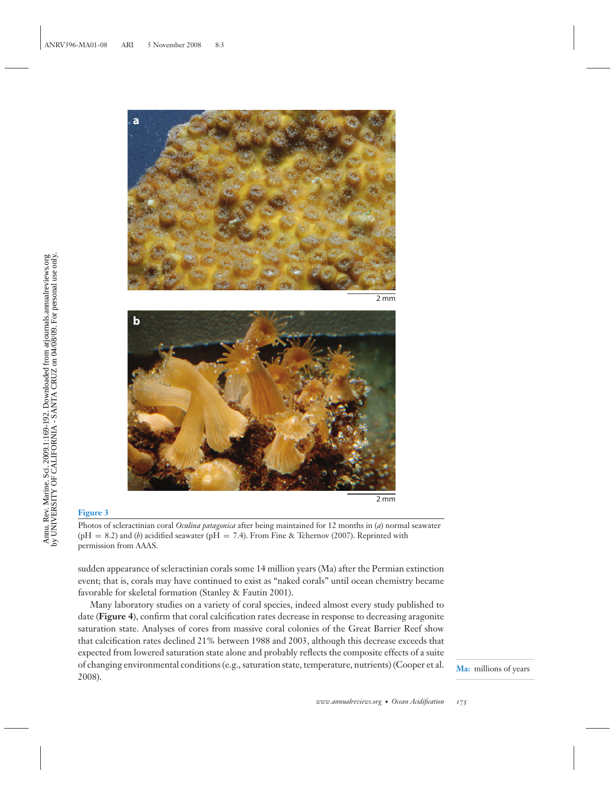![](_page_6_Picture_0.jpeg)

2 mm

![](_page_6_Picture_2.jpeg)

#### 2 mm

#### **Figure 3**

Photos of scleractinian coral *Oculina patagonica* after being maintained for 12 months in (*a*) normal seawater ( $pH = 8.2$ ) and (*b*) acidified seawater ( $pH = 7.4$ ). From Fine & Tchernov (2007). Reprinted with permission from AAAS.

sudden appearance of scleractinian corals some 14 million years (Ma) after the Permian extinction event; that is, corals may have continued to exist as "naked corals" until ocean chemistry became favorable for skeletal formation (Stanley & Fautin 2001).

Many laboratory studies on a variety of coral species, indeed almost every study published to date (**Figure 4**), confirm that coral calcification rates decrease in response to decreasing aragonite saturation state. Analyses of cores from massive coral colonies of the Great Barrier Reef show that calcification rates declined 21% between 1988 and 2003, although this decrease exceeds that expected from lowered saturation state alone and probably reflects the composite effects of a suite of changing environmental conditions (e.g., saturation state, temperature, nutrients) (Cooper et al. 2008).

**Ma:** millions of years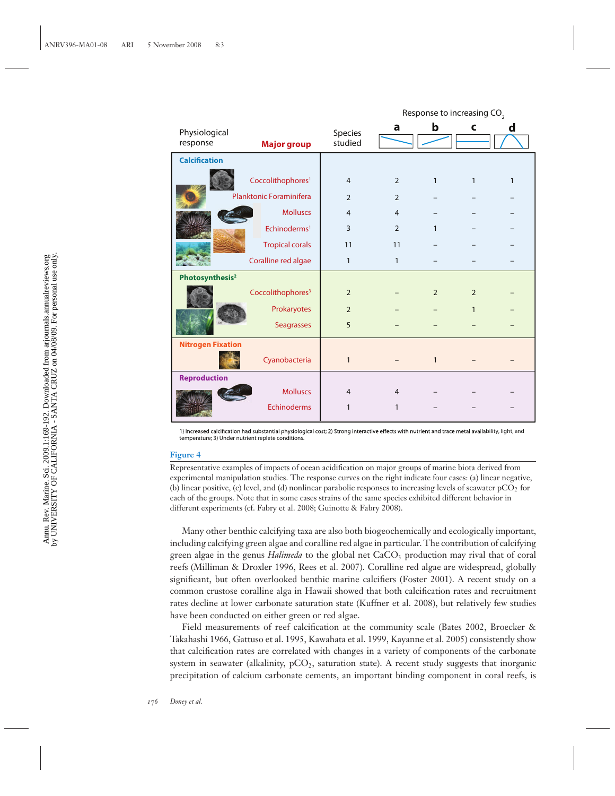|                             |                               |                    | Response to increasing CO <sub>2</sub> |                |                |   |
|-----------------------------|-------------------------------|--------------------|----------------------------------------|----------------|----------------|---|
| Physiological<br>response   | <b>Major group</b>            | Species<br>studied | a                                      | b              | C              | d |
| <b>Calcification</b>        |                               |                    |                                        |                |                |   |
|                             | Coccolithophores <sup>1</sup> | $\overline{4}$     | $\overline{2}$                         | $\mathbf{1}$   | 1              | 1 |
|                             | Planktonic Foraminifera       | $\overline{2}$     | $\overline{2}$                         |                |                |   |
|                             | <b>Molluscs</b>               | $\overline{4}$     | $\overline{4}$                         |                |                |   |
|                             | Echinoderms <sup>1</sup>      | 3                  | $\overline{2}$                         | $\mathbf{1}$   |                |   |
|                             | <b>Tropical corals</b>        | 11                 | 11                                     |                |                |   |
|                             | Coralline red algae           | $\mathbf{1}$       | $\mathbf{1}$                           |                |                |   |
| Photosynthesis <sup>2</sup> |                               |                    |                                        |                |                |   |
|                             | Coccolithophores <sup>3</sup> | $\overline{2}$     |                                        | $\overline{2}$ | $\overline{2}$ |   |
|                             | Prokaryotes                   | $\overline{2}$     |                                        |                | $\mathbf{1}$   |   |
|                             | Seagrasses                    | 5                  |                                        |                |                |   |
| <b>Nitrogen Fixation</b>    |                               |                    |                                        |                |                |   |
|                             | Cyanobacteria                 | $\mathbf{1}$       |                                        | $\mathbf{1}$   |                |   |
| <b>Reproduction</b>         |                               |                    |                                        |                |                |   |
|                             | <b>Molluscs</b>               | $\overline{4}$     | $\overline{4}$                         |                |                |   |
|                             | <b>Echinoderms</b>            | 1                  | 1                                      |                |                |   |

1) Increased calcification had substantial physiological cost; 2) Strong interactive effects with nutrient and trace metal availability, light, and temperature; 3) Under nutrient replete conditions.

#### **Figure 4**

Representative examples of impacts of ocean acidification on major groups of marine biota derived from experimental manipulation studies. The response curves on the right indicate four cases: (a) linear negative, (b) linear positive, (c) level, and (d) nonlinear parabolic responses to increasing levels of seawater  $pCO<sub>2</sub>$  for each of the groups. Note that in some cases strains of the same species exhibited different behavior in different experiments (cf. Fabry et al. 2008; Guinotte & Fabry 2008).

Many other benthic calcifying taxa are also both biogeochemically and ecologically important, including calcifying green algae and coralline red algae in particular. The contribution of calcifying green algae in the genus *Halimeda* to the global net CaCO<sub>3</sub> production may rival that of coral reefs (Milliman & Droxler 1996, Rees et al. 2007). Coralline red algae are widespread, globally significant, but often overlooked benthic marine calcifiers (Foster 2001). A recent study on a common crustose coralline alga in Hawaii showed that both calcification rates and recruitment rates decline at lower carbonate saturation state (Kuffner et al. 2008), but relatively few studies have been conducted on either green or red algae.

Field measurements of reef calcification at the community scale (Bates 2002, Broecker & Takahashi 1966, Gattuso et al. 1995, Kawahata et al. 1999, Kayanne et al. 2005) consistently show that calcification rates are correlated with changes in a variety of components of the carbonate system in seawater (alkalinity,  $pCO<sub>2</sub>$ , saturation state). A recent study suggests that inorganic precipitation of calcium carbonate cements, an important binding component in coral reefs, is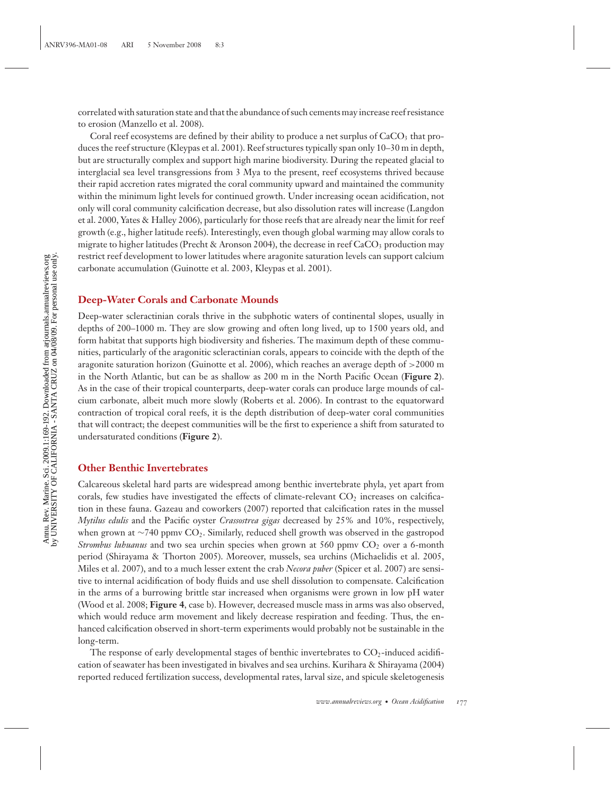correlated with saturation state and that the abundance of such cements may increase reef resistance to erosion (Manzello et al. 2008).

Coral reef ecosystems are defined by their ability to produce a net surplus of  $CaCO<sub>3</sub>$  that produces the reef structure (Kleypas et al. 2001). Reef structures typically span only 10–30 m in depth, but are structurally complex and support high marine biodiversity. During the repeated glacial to interglacial sea level transgressions from 3 Mya to the present, reef ecosystems thrived because their rapid accretion rates migrated the coral community upward and maintained the community within the minimum light levels for continued growth. Under increasing ocean acidification, not only will coral community calcification decrease, but also dissolution rates will increase (Langdon et al. 2000, Yates & Halley 2006), particularly for those reefs that are already near the limit for reef growth (e.g., higher latitude reefs). Interestingly, even though global warming may allow corals to migrate to higher latitudes (Precht & Aronson 2004), the decrease in reef  $CaCO<sub>3</sub>$  production may restrict reef development to lower latitudes where aragonite saturation levels can support calcium carbonate accumulation (Guinotte et al. 2003, Kleypas et al. 2001).

#### **Deep-Water Corals and Carbonate Mounds**

Deep-water scleractinian corals thrive in the subphotic waters of continental slopes, usually in depths of 200–1000 m. They are slow growing and often long lived, up to 1500 years old, and form habitat that supports high biodiversity and fisheries. The maximum depth of these communities, particularly of the aragonitic scleractinian corals, appears to coincide with the depth of the aragonite saturation horizon (Guinotte et al. 2006), which reaches an average depth of >2000 m in the North Atlantic, but can be as shallow as 200 m in the North Pacific Ocean (**Figure 2**). As in the case of their tropical counterparts, deep-water corals can produce large mounds of calcium carbonate, albeit much more slowly (Roberts et al. 2006). In contrast to the equatorward contraction of tropical coral reefs, it is the depth distribution of deep-water coral communities that will contract; the deepest communities will be the first to experience a shift from saturated to undersaturated conditions (**Figure 2**).

#### **Other Benthic Invertebrates**

Calcareous skeletal hard parts are widespread among benthic invertebrate phyla, yet apart from corals, few studies have investigated the effects of climate-relevant  $CO<sub>2</sub>$  increases on calcification in these fauna. Gazeau and coworkers (2007) reported that calcification rates in the mussel *Mytilus edulis* and the Pacific oyster *Crassostrea gigas* decreased by 25% and 10%, respectively, when grown at ∼740 ppmv CO2. Similarly, reduced shell growth was observed in the gastropod *Strombus lubuanus* and two sea urchin species when grown at 560 ppmv CO<sub>2</sub> over a 6-month period (Shirayama & Thorton 2005). Moreover, mussels, sea urchins (Michaelidis et al. 2005, Miles et al. 2007), and to a much lesser extent the crab *Necora puber* (Spicer et al. 2007) are sensitive to internal acidification of body fluids and use shell dissolution to compensate. Calcification in the arms of a burrowing brittle star increased when organisms were grown in low pH water (Wood et al. 2008; **Figure 4**, case b). However, decreased muscle mass in arms was also observed, which would reduce arm movement and likely decrease respiration and feeding. Thus, the enhanced calcification observed in short-term experiments would probably not be sustainable in the long-term.

The response of early developmental stages of benthic invertebrates to  $CO<sub>2</sub>$ -induced acidification of seawater has been investigated in bivalves and sea urchins. Kurihara & Shirayama (2004) reported reduced fertilization success, developmental rates, larval size, and spicule skeletogenesis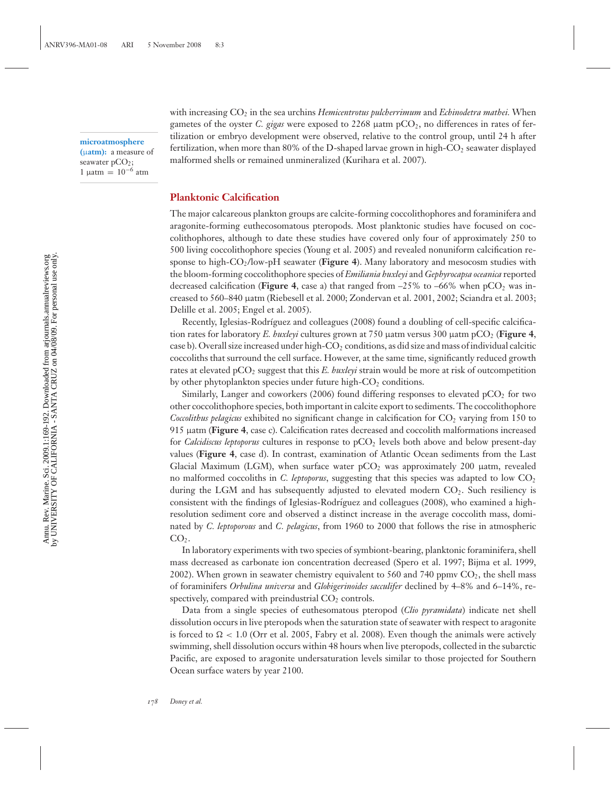**microatmosphere (**μ**atm):** a measure of seawater pCO<sub>2</sub>;

1 μatm =  $10^{-6}$  atm

with increasing  $CO<sub>2</sub>$  in the sea urchins *Hemicentrotus pulcherrimum* and *Echinodetra mathei*. When gametes of the oyster *C. gigas* were exposed to 2268 μatm pCO2, no differences in rates of fertilization or embryo development were observed, relative to the control group, until 24 h after fertilization, when more than  $80\%$  of the D-shaped larvae grown in high-CO<sub>2</sub> seawater displayed malformed shells or remained unmineralized (Kurihara et al. 2007).

#### **Planktonic Calcification**

The major calcareous plankton groups are calcite-forming coccolithophores and foraminifera and aragonite-forming euthecosomatous pteropods. Most planktonic studies have focused on coccolithophores, although to date these studies have covered only four of approximately 250 to 500 living coccolithophore species (Young et al. 2005) and revealed nonuniform calcification response to high-CO2/low-pH seawater (**Figure 4**). Many laboratory and mesocosm studies with the bloom-forming coccolithophore species of *Emiliania huxleyi* and *Gephyrocapsa oceanica* reported decreased calcification (**Figure 4**, case a) that ranged from  $-25\%$  to  $-66\%$  when  $pCO<sub>2</sub>$  was increased to 560–840 μatm (Riebesell et al. 2000; Zondervan et al. 2001, 2002; Sciandra et al. 2003; Delille et al. 2005; Engel et al. 2005).

Recently, Iglesias-Rodríguez and colleagues (2008) found a doubling of cell-specific calcification rates for laboratory *E. huxleyi* cultures grown at 750 μatm versus 300 μatm pCO<sub>2</sub> (**Figure 4**, case b). Overall size increased under high- $CO<sub>2</sub>$  conditions, as did size and mass of individual calcitic coccoliths that surround the cell surface. However, at the same time, significantly reduced growth rates at elevated pCO2 suggest that this *E. huxleyi* strain would be more at risk of outcompetition by other phytoplankton species under future high- $CO<sub>2</sub>$  conditions.

Similarly, Langer and coworkers (2006) found differing responses to elevated  $pCO<sub>2</sub>$  for two other coccolithophore species, both important in calcite export to sediments. The coccolithophore *Coccolithus pelagicus* exhibited no significant change in calcification for CO<sub>2</sub> varying from 150 to 915 μatm (**Figure 4**, case c). Calcification rates decreased and coccolith malformations increased for *Calcidiscus leptoporus* cultures in response to pCO<sub>2</sub> levels both above and below present-day values (**Figure 4**, case d). In contrast, examination of Atlantic Ocean sediments from the Last Glacial Maximum (LGM), when surface water  $pCO<sub>2</sub>$  was approximately 200  $\mu$ atm, revealed no malformed coccoliths in *C. leptoporus*, suggesting that this species was adapted to low CO<sub>2</sub> during the LGM and has subsequently adjusted to elevated modern  $CO<sub>2</sub>$ . Such resiliency is consistent with the findings of Iglesias-Rodríguez and colleagues (2008), who examined a highresolution sediment core and observed a distinct increase in the average coccolith mass, dominated by *C. leptoporous* and *C. pelagicus*, from 1960 to 2000 that follows the rise in atmospheric  $CO<sub>2</sub>$ .

In laboratory experiments with two species of symbiont-bearing, planktonic foraminifera, shell mass decreased as carbonate ion concentration decreased (Spero et al. 1997; Bijma et al. 1999, 2002). When grown in seawater chemistry equivalent to 560 and 740 ppmv  $CO<sub>2</sub>$ , the shell mass of foraminifers *Orbulina universa* and *Globigerinoides sacculifer* declined by 4–8% and 6–14%, respectively, compared with preindustrial  $CO<sub>2</sub>$  controls.

Data from a single species of euthesomatous pteropod (*Clio pyramidata*) indicate net shell dissolution occurs in live pteropods when the saturation state of seawater with respect to aragonite is forced to  $\Omega < 1.0$  (Orr et al. 2005, Fabry et al. 2008). Even though the animals were actively swimming, shell dissolution occurs within 48 hours when live pteropods, collected in the subarctic Pacific, are exposed to aragonite undersaturation levels similar to those projected for Southern Ocean surface waters by year 2100.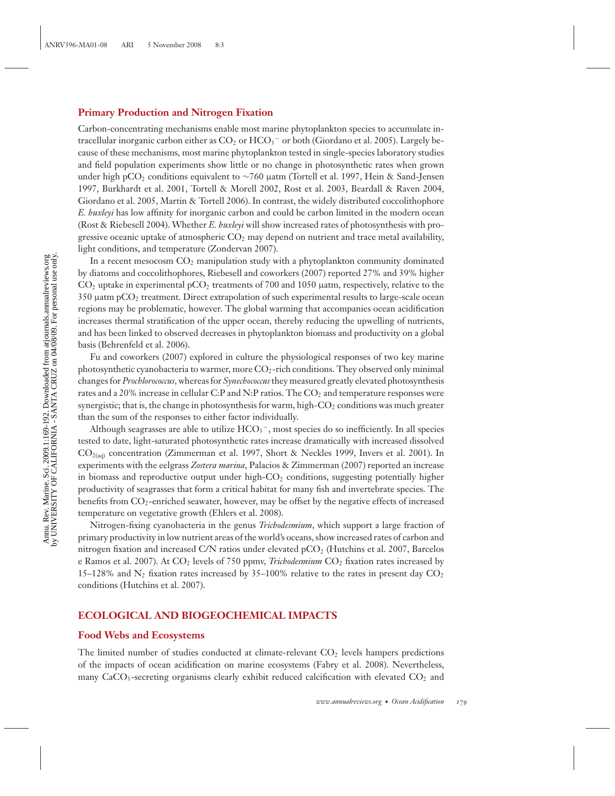#### **Primary Production and Nitrogen Fixation**

Carbon-concentrating mechanisms enable most marine phytoplankton species to accumulate intracellular inorganic carbon either as  $CO<sub>2</sub>$  or  $HCO<sub>3</sub><sup>-</sup>$  or both (Giordano et al. 2005). Largely because of these mechanisms, most marine phytoplankton tested in single-species laboratory studies and field population experiments show little or no change in photosynthetic rates when grown under high pCO2 conditions equivalent to ∼760 μatm (Tortell et al. 1997, Hein & Sand-Jensen 1997, Burkhardt et al. 2001, Tortell & Morell 2002, Rost et al. 2003, Beardall & Raven 2004, Giordano et al. 2005, Martin & Tortell 2006). In contrast, the widely distributed coccolithophore *E. huxleyi* has low affinity for inorganic carbon and could be carbon limited in the modern ocean (Rost & Riebesell 2004). Whether *E. huxleyi* will show increased rates of photosynthesis with progressive oceanic uptake of atmospheric  $CO<sub>2</sub>$  may depend on nutrient and trace metal availability, light conditions, and temperature (Zondervan 2007).

In a recent mesocosm  $CO<sub>2</sub>$  manipulation study with a phytoplankton community dominated by diatoms and coccolithophores, Riebesell and coworkers (2007) reported 27% and 39% higher  $CO<sub>2</sub>$  uptake in experimental pCO<sub>2</sub> treatments of 700 and 1050  $\mu$ atm, respectively, relative to the 350 μatm pCO2 treatment. Direct extrapolation of such experimental results to large-scale ocean regions may be problematic, however. The global warming that accompanies ocean acidification increases thermal stratification of the upper ocean, thereby reducing the upwelling of nutrients, and has been linked to observed decreases in phytoplankton biomass and productivity on a global basis (Behrenfeld et al. 2006).

Fu and coworkers (2007) explored in culture the physiological responses of two key marine photosynthetic cyanobacteria to warmer, more  $CO<sub>2</sub>$ -rich conditions. They observed only minimal changes for *Prochlorococcus*, whereas for *Synechococcus* they measured greatly elevated photosynthesis rates and a 20% increase in cellular C:P and N:P ratios. The CO<sub>2</sub> and temperature responses were synergistic; that is, the change in photosynthesis for warm, high-CO<sub>2</sub> conditions was much greater than the sum of the responses to either factor individually.

Although seagrasses are able to utilize  $\mathrm{HCO_{3}^{-}},$  most species do so inefficiently. In all species tested to date, light-saturated photosynthetic rates increase dramatically with increased dissolved CO2(aq) concentration (Zimmerman et al. 1997, Short & Neckles 1999, Invers et al. 2001). In experiments with the eelgrass *Zostera marina*, Palacios & Zimmerman (2007) reported an increase in biomass and reproductive output under high- $CO<sub>2</sub>$  conditions, suggesting potentially higher productivity of seagrasses that form a critical habitat for many fish and invertebrate species. The benefits from  $CO_2$ -enriched seawater, however, may be offset by the negative effects of increased temperature on vegetative growth (Ehlers et al. 2008).

Nitrogen-fixing cyanobacteria in the genus *Trichodesmium*, which support a large fraction of primary productivity in low nutrient areas of the world's oceans, show increased rates of carbon and nitrogen fixation and increased C/N ratios under elevated pCO2 (Hutchins et al. 2007, Barcelos e Ramos et al. 2007). At CO2 levels of 750 ppmv, *Trichodesmium* CO2 fixation rates increased by 15–128% and  $N_2$  fixation rates increased by 35–100% relative to the rates in present day  $CO_2$ conditions (Hutchins et al. 2007).

### **ECOLOGICAL AND BIOGEOCHEMICAL IMPACTS**

#### **Food Webs and Ecosystems**

The limited number of studies conducted at climate-relevant  $CO<sub>2</sub>$  levels hampers predictions of the impacts of ocean acidification on marine ecosystems (Fabry et al. 2008). Nevertheless, many CaCO<sub>3</sub>-secreting organisms clearly exhibit reduced calcification with elevated CO<sub>2</sub> and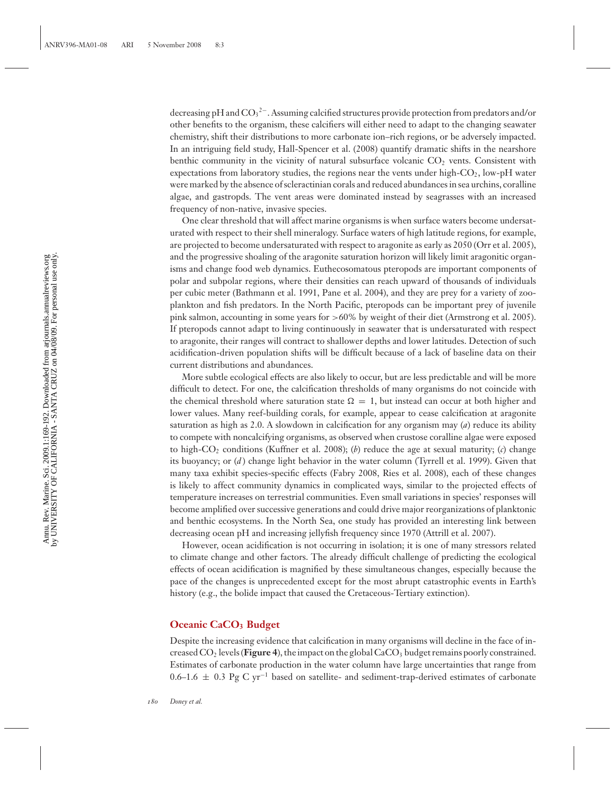decreasing pH and  $\text{CO}_3{}^{2-}$ . Assuming calcified structures provide protection from predators and/or other benefits to the organism, these calcifiers will either need to adapt to the changing seawater chemistry, shift their distributions to more carbonate ion–rich regions, or be adversely impacted. In an intriguing field study, Hall-Spencer et al. (2008) quantify dramatic shifts in the nearshore benthic community in the vicinity of natural subsurface volcanic  $CO<sub>2</sub>$  vents. Consistent with expectations from laboratory studies, the regions near the vents under high- $CO<sub>2</sub>$ , low-pH water were marked by the absence of scleractinian corals and reduced abundances in sea urchins, coralline algae, and gastropds. The vent areas were dominated instead by seagrasses with an increased frequency of non-native, invasive species.

One clear threshold that will affect marine organisms is when surface waters become undersaturated with respect to their shell mineralogy. Surface waters of high latitude regions, for example, are projected to become undersaturated with respect to aragonite as early as 2050 (Orr et al. 2005), and the progressive shoaling of the aragonite saturation horizon will likely limit aragonitic organisms and change food web dynamics. Euthecosomatous pteropods are important components of polar and subpolar regions, where their densities can reach upward of thousands of individuals per cubic meter (Bathmann et al. 1991, Pane et al. 2004), and they are prey for a variety of zooplankton and fish predators. In the North Pacific, pteropods can be important prey of juvenile pink salmon, accounting in some years for >60% by weight of their diet (Armstrong et al. 2005). If pteropods cannot adapt to living continuously in seawater that is undersaturated with respect to aragonite, their ranges will contract to shallower depths and lower latitudes. Detection of such acidification-driven population shifts will be difficult because of a lack of baseline data on their current distributions and abundances.

More subtle ecological effects are also likely to occur, but are less predictable and will be more difficult to detect. For one, the calcification thresholds of many organisms do not coincide with the chemical threshold where saturation state  $\Omega = 1$ , but instead can occur at both higher and lower values. Many reef-building corals, for example, appear to cease calcification at aragonite saturation as high as 2.0. A slowdown in calcification for any organism may (*a*) reduce its ability to compete with noncalcifying organisms, as observed when crustose coralline algae were exposed to high-CO2 conditions (Kuffner et al. 2008); (*b*) reduce the age at sexual maturity; (*c*) change its buoyancy; or (*d* ) change light behavior in the water column (Tyrrell et al. 1999). Given that many taxa exhibit species-specific effects (Fabry 2008, Ries et al. 2008), each of these changes is likely to affect community dynamics in complicated ways, similar to the projected effects of temperature increases on terrestrial communities. Even small variations in species' responses will become amplified over successive generations and could drive major reorganizations of planktonic and benthic ecosystems. In the North Sea, one study has provided an interesting link between decreasing ocean pH and increasing jellyfish frequency since 1970 (Attrill et al. 2007).

However, ocean acidification is not occurring in isolation; it is one of many stressors related to climate change and other factors. The already difficult challenge of predicting the ecological effects of ocean acidification is magnified by these simultaneous changes, especially because the pace of the changes is unprecedented except for the most abrupt catastrophic events in Earth's history (e.g., the bolide impact that caused the Cretaceous-Tertiary extinction).

#### **Oceanic CaCO3 Budget**

Despite the increasing evidence that calcification in many organisms will decline in the face of increased  $CO<sub>2</sub>$  levels (**Figure 4**), the impact on the global  $CaCO<sub>3</sub>$  budget remains poorly constrained. Estimates of carbonate production in the water column have large uncertainties that range from 0.6–1.6 ± 0.3 Pg C yr−<sup>1</sup> based on satellite- and sediment-trap-derived estimates of carbonate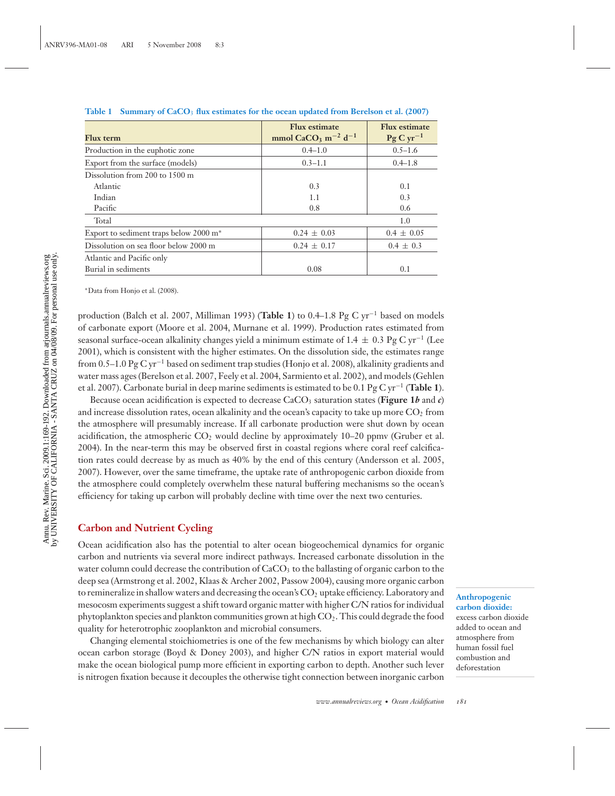| <b>Flux</b> term                                   | <b>Flux estimate</b><br>mmol CaCO <sub>3</sub> m <sup>-2</sup> d <sup>-1</sup> | <b>Flux estimate</b><br>$\rm{Pg} \rm{C} \rm{yr}^{-1}$ |
|----------------------------------------------------|--------------------------------------------------------------------------------|-------------------------------------------------------|
| Production in the euphotic zone                    | $0.4 - 1.0$                                                                    | $0.5 - 1.6$                                           |
| Export from the surface (models)                   | $0.3 - 1.1$                                                                    | $0.4 - 1.8$                                           |
| Dissolution from 200 to 1500 m                     |                                                                                |                                                       |
| Atlantic                                           | 0.3                                                                            | 0.1                                                   |
| Indian                                             | 1.1                                                                            | 0.3                                                   |
| Pacific                                            | 0.8                                                                            | 0.6                                                   |
| Total                                              |                                                                                | 1.0                                                   |
| Export to sediment traps below 2000 m <sup>*</sup> | $0.24 \pm 0.03$                                                                | $0.4 \pm 0.05$                                        |
| Dissolution on sea floor below 2000 m              | $0.24 \pm 0.17$                                                                | $0.4 \pm 0.3$                                         |
| Atlantic and Pacific only                          |                                                                                |                                                       |
| Burial in sediments                                | 0.08                                                                           | 0.1                                                   |

**Table 1 Summary of CaCO**<sup>3</sup> **flux estimates for the ocean updated from Berelson et al. (2007)**

∗Data from Honjo et al. (2008).

production (Balch et al. 2007, Milliman 1993) (**Table 1**) to 0.4–1.8 Pg C yr−<sup>1</sup> based on models of carbonate export (Moore et al. 2004, Murnane et al. 1999). Production rates estimated from seasonal surface-ocean alkalinity changes yield a minimum estimate of 1.4  $\pm$  0.3 Pg C yr<sup>−1</sup> (Lee 2001), which is consistent with the higher estimates. On the dissolution side, the estimates range from 0.5–1.0 Pg C yr−<sup>1</sup> based on sediment trap studies (Honjo et al. 2008), alkalinity gradients and water mass ages (Berelson et al. 2007, Feely et al. 2004, Sarmiento et al. 2002), and models (Gehlen et al. 2007). Carbonate burial in deep marine sediments is estimated to be 0.1 Pg C yr−<sup>1</sup> (**Table 1**).

Because ocean acidification is expected to decrease  $CaCO<sub>3</sub>$  saturation states (**Figure 1***b* and *c*) and increase dissolution rates, ocean alkalinity and the ocean's capacity to take up more  $CO<sub>2</sub>$  from the atmosphere will presumably increase. If all carbonate production were shut down by ocean acidification, the atmospheric  $CO<sub>2</sub>$  would decline by approximately 10–20 ppmv (Gruber et al. 2004). In the near-term this may be observed first in coastal regions where coral reef calcification rates could decrease by as much as 40% by the end of this century (Andersson et al. 2005, 2007). However, over the same timeframe, the uptake rate of anthropogenic carbon dioxide from the atmosphere could completely overwhelm these natural buffering mechanisms so the ocean's efficiency for taking up carbon will probably decline with time over the next two centuries.

#### **Carbon and Nutrient Cycling**

Ocean acidification also has the potential to alter ocean biogeochemical dynamics for organic carbon and nutrients via several more indirect pathways. Increased carbonate dissolution in the water column could decrease the contribution of  $CaCO<sub>3</sub>$  to the ballasting of organic carbon to the deep sea (Armstrong et al. 2002, Klaas & Archer 2002, Passow 2004), causing more organic carbon to remineralize in shallow waters and decreasing the ocean's  $CO<sub>2</sub>$  uptake efficiency. Laboratory and mesocosm experiments suggest a shift toward organic matter with higher C/N ratios for individual phytoplankton species and plankton communities grown at high  $CO<sub>2</sub>$ . This could degrade the food quality for heterotrophic zooplankton and microbial consumers.

Changing elemental stoichiometries is one of the few mechanisms by which biology can alter ocean carbon storage (Boyd & Doney 2003), and higher C/N ratios in export material would make the ocean biological pump more efficient in exporting carbon to depth. Another such lever is nitrogen fixation because it decouples the otherwise tight connection between inorganic carbon

**Anthropogenic carbon dioxide:**

excess carbon dioxide added to ocean and atmosphere from human fossil fuel combustion and deforestation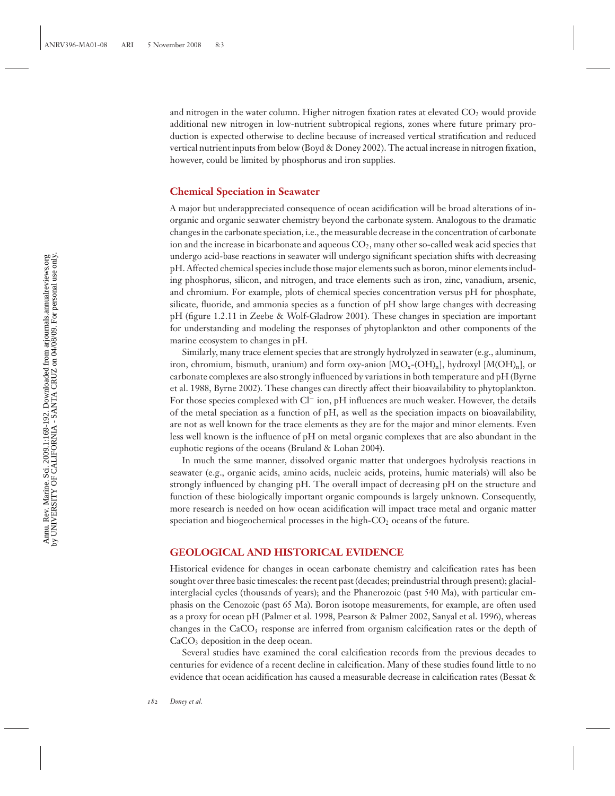and nitrogen in the water column. Higher nitrogen fixation rates at elevated  $CO<sub>2</sub>$  would provide additional new nitrogen in low-nutrient subtropical regions, zones where future primary production is expected otherwise to decline because of increased vertical stratification and reduced vertical nutrient inputs from below (Boyd & Doney 2002). The actual increase in nitrogen fixation, however, could be limited by phosphorus and iron supplies.

#### **Chemical Speciation in Seawater**

A major but underappreciated consequence of ocean acidification will be broad alterations of inorganic and organic seawater chemistry beyond the carbonate system. Analogous to the dramatic changes in the carbonate speciation, i.e., the measurable decrease in the concentration of carbonate ion and the increase in bicarbonate and aqueous  $CO<sub>2</sub>$ , many other so-called weak acid species that undergo acid-base reactions in seawater will undergo significant speciation shifts with decreasing pH. Affected chemical species include those major elements such as boron, minor elements including phosphorus, silicon, and nitrogen, and trace elements such as iron, zinc, vanadium, arsenic, and chromium. For example, plots of chemical species concentration versus pH for phosphate, silicate, fluoride, and ammonia species as a function of pH show large changes with decreasing pH (figure 1.2.11 in Zeebe & Wolf-Gladrow 2001). These changes in speciation are important for understanding and modeling the responses of phytoplankton and other components of the marine ecosystem to changes in pH.

Similarly, many trace element species that are strongly hydrolyzed in seawater (e.g., aluminum, iron, chromium, bismuth, uranium) and form oxy-anion  $[MO_{x}-(OH)_{n}]$ , hydroxyl  $[M(OH)_{n}]$ , or carbonate complexes are also strongly influenced by variations in both temperature and pH (Byrne et al. 1988, Byrne 2002). These changes can directly affect their bioavailability to phytoplankton. For those species complexed with Cl<sup>−</sup> ion, pH influences are much weaker. However, the details of the metal speciation as a function of pH, as well as the speciation impacts on bioavailability, are not as well known for the trace elements as they are for the major and minor elements. Even less well known is the influence of pH on metal organic complexes that are also abundant in the euphotic regions of the oceans (Bruland & Lohan 2004).

In much the same manner, dissolved organic matter that undergoes hydrolysis reactions in seawater (e.g., organic acids, amino acids, nucleic acids, proteins, humic materials) will also be strongly influenced by changing pH. The overall impact of decreasing pH on the structure and function of these biologically important organic compounds is largely unknown. Consequently, more research is needed on how ocean acidification will impact trace metal and organic matter speciation and biogeochemical processes in the high- $CO<sub>2</sub>$  oceans of the future.

#### **GEOLOGICAL AND HISTORICAL EVIDENCE**

Historical evidence for changes in ocean carbonate chemistry and calcification rates has been sought over three basic timescales: the recent past (decades; preindustrial through present); glacialinterglacial cycles (thousands of years); and the Phanerozoic (past 540 Ma), with particular emphasis on the Cenozoic (past 65 Ma). Boron isotope measurements, for example, are often used as a proxy for ocean pH (Palmer et al. 1998, Pearson & Palmer 2002, Sanyal et al. 1996), whereas changes in the  $CaCO<sub>3</sub>$  response are inferred from organism calcification rates or the depth of  $CaCO<sub>3</sub>$  deposition in the deep ocean.

Several studies have examined the coral calcification records from the previous decades to centuries for evidence of a recent decline in calcification. Many of these studies found little to no evidence that ocean acidification has caused a measurable decrease in calcification rates (Bessat &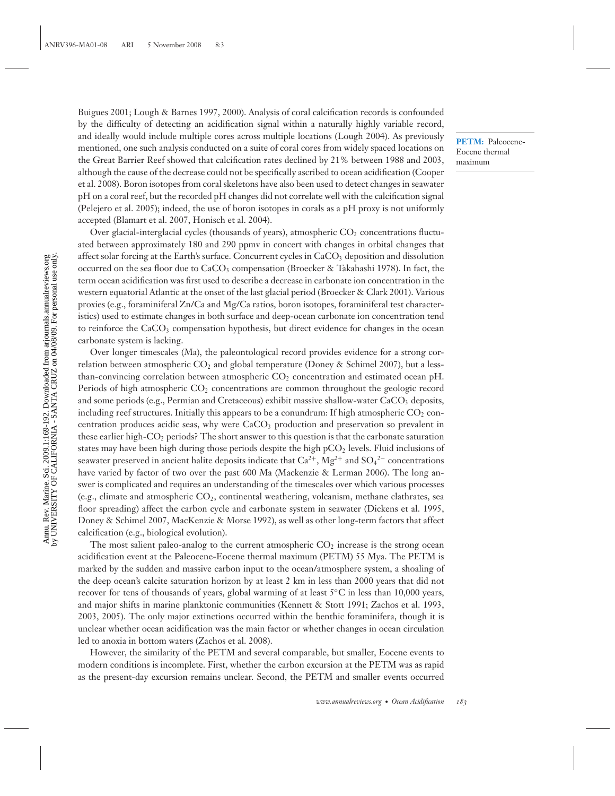Buigues 2001; Lough & Barnes 1997, 2000). Analysis of coral calcification records is confounded by the difficulty of detecting an acidification signal within a naturally highly variable record, and ideally would include multiple cores across multiple locations (Lough 2004). As previously mentioned, one such analysis conducted on a suite of coral cores from widely spaced locations on the Great Barrier Reef showed that calcification rates declined by 21% between 1988 and 2003, although the cause of the decrease could not be specifically ascribed to ocean acidification (Cooper et al. 2008). Boron isotopes from coral skeletons have also been used to detect changes in seawater pH on a coral reef, but the recorded pH changes did not correlate well with the calcification signal (Pelejero et al. 2005); indeed, the use of boron isotopes in corals as a pH proxy is not uniformly accepted (Blamart et al. 2007, Honisch et al. 2004).

Over glacial-interglacial cycles (thousands of years), atmospheric  $CO<sub>2</sub>$  concentrations fluctuated between approximately 180 and 290 ppmv in concert with changes in orbital changes that affect solar forcing at the Earth's surface. Concurrent cycles in  $CaCO<sub>3</sub>$  deposition and dissolution occurred on the sea floor due to CaCO<sub>3</sub> compensation (Broecker & Takahashi 1978). In fact, the term ocean acidification was first used to describe a decrease in carbonate ion concentration in the western equatorial Atlantic at the onset of the last glacial period (Broecker & Clark 2001). Various proxies (e.g., foraminiferal Zn/Ca and Mg/Ca ratios, boron isotopes, foraminiferal test characteristics) used to estimate changes in both surface and deep-ocean carbonate ion concentration tend to reinforce the  $CaCO<sub>3</sub>$  compensation hypothesis, but direct evidence for changes in the ocean carbonate system is lacking.

Over longer timescales (Ma), the paleontological record provides evidence for a strong correlation between atmospheric  $CO<sub>2</sub>$  and global temperature (Doney & Schimel 2007), but a lessthan-convincing correlation between atmospheric  $CO<sub>2</sub>$  concentration and estimated ocean pH. Periods of high atmospheric CO<sub>2</sub> concentrations are common throughout the geologic record and some periods (e.g., Permian and Cretaceous) exhibit massive shallow-water  $CaCO<sub>3</sub>$  deposits, including reef structures. Initially this appears to be a conundrum: If high atmospheric  $CO<sub>2</sub>$  concentration produces acidic seas, why were CaCO<sub>3</sub> production and preservation so prevalent in these earlier high-CO2 periods? The short answer to this question is that the carbonate saturation states may have been high during those periods despite the high  $pCO<sub>2</sub>$  levels. Fluid inclusions of seawater preserved in ancient halite deposits indicate that  $\rm Ca^{2+}, Mg^{2+}$  and  $\rm SO_4{}^{2-}$  concentrations have varied by factor of two over the past 600 Ma (Mackenzie & Lerman 2006). The long answer is complicated and requires an understanding of the timescales over which various processes (e.g., climate and atmospheric  $CO<sub>2</sub>$ , continental weathering, volcanism, methane clathrates, sea floor spreading) affect the carbon cycle and carbonate system in seawater (Dickens et al. 1995, Doney & Schimel 2007, MacKenzie & Morse 1992), as well as other long-term factors that affect calcification (e.g., biological evolution).

The most salient paleo-analog to the current atmospheric  $CO<sub>2</sub>$  increase is the strong ocean acidification event at the Paleocene-Eocene thermal maximum (PETM) 55 Mya. The PETM is marked by the sudden and massive carbon input to the ocean/atmosphere system, a shoaling of the deep ocean's calcite saturation horizon by at least 2 km in less than 2000 years that did not recover for tens of thousands of years, global warming of at least 5*◦*C in less than 10,000 years, and major shifts in marine planktonic communities (Kennett & Stott 1991; Zachos et al. 1993, 2003, 2005). The only major extinctions occurred within the benthic foraminifera, though it is unclear whether ocean acidification was the main factor or whether changes in ocean circulation led to anoxia in bottom waters (Zachos et al. 2008).

However, the similarity of the PETM and several comparable, but smaller, Eocene events to modern conditions is incomplete. First, whether the carbon excursion at the PETM was as rapid as the present-day excursion remains unclear. Second, the PETM and smaller events occurred

**PETM:** Paleocene-Eocene thermal maximum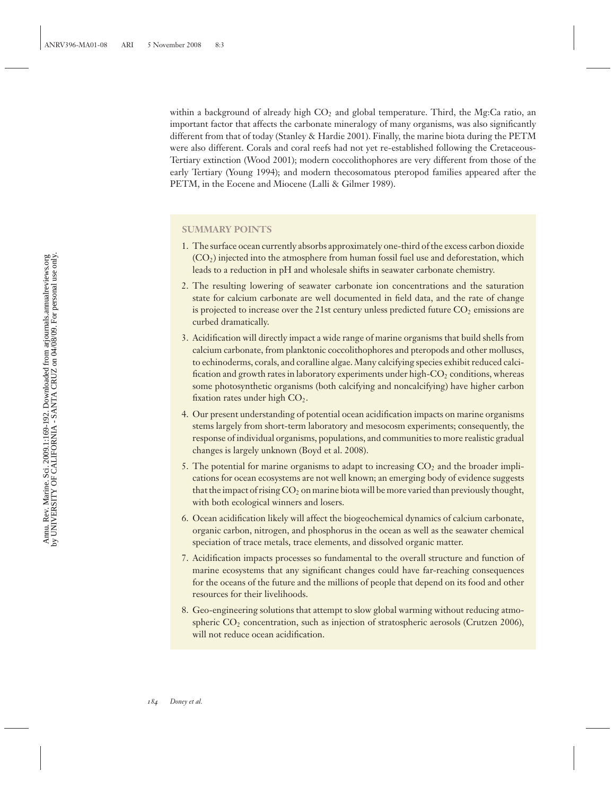within a background of already high  $CO<sub>2</sub>$  and global temperature. Third, the Mg:Ca ratio, an important factor that affects the carbonate mineralogy of many organisms, was also significantly different from that of today (Stanley & Hardie 2001). Finally, the marine biota during the PETM were also different. Corals and coral reefs had not yet re-established following the Cretaceous-Tertiary extinction (Wood 2001); modern coccolithophores are very different from those of the early Tertiary (Young 1994); and modern thecosomatous pteropod families appeared after the PETM, in the Eocene and Miocene (Lalli & Gilmer 1989).

#### **SUMMARY POINTS**

- 1. The surface ocean currently absorbs approximately one-third of the excess carbon dioxide  $(CO<sub>2</sub>)$  injected into the atmosphere from human fossil fuel use and deforestation, which leads to a reduction in pH and wholesale shifts in seawater carbonate chemistry.
- 2. The resulting lowering of seawater carbonate ion concentrations and the saturation state for calcium carbonate are well documented in field data, and the rate of change is projected to increase over the 21st century unless predicted future  $CO<sub>2</sub>$  emissions are curbed dramatically.
- 3. Acidification will directly impact a wide range of marine organisms that build shells from calcium carbonate, from planktonic coccolithophores and pteropods and other molluscs, to echinoderms, corals, and coralline algae. Many calcifying species exhibit reduced calcification and growth rates in laboratory experiments under high- $CO<sub>2</sub>$  conditions, whereas some photosynthetic organisms (both calcifying and noncalcifying) have higher carbon fixation rates under high  $CO<sub>2</sub>$ .
- 4. Our present understanding of potential ocean acidification impacts on marine organisms stems largely from short-term laboratory and mesocosm experiments; consequently, the response of individual organisms, populations, and communities to more realistic gradual changes is largely unknown (Boyd et al. 2008).
- 5. The potential for marine organisms to adapt to increasing  $CO<sub>2</sub>$  and the broader implications for ocean ecosystems are not well known; an emerging body of evidence suggests that the impact of rising  $CO<sub>2</sub>$  on marine biota will be more varied than previously thought, with both ecological winners and losers.
- 6. Ocean acidification likely will affect the biogeochemical dynamics of calcium carbonate, organic carbon, nitrogen, and phosphorus in the ocean as well as the seawater chemical speciation of trace metals, trace elements, and dissolved organic matter.
- 7. Acidification impacts processes so fundamental to the overall structure and function of marine ecosystems that any significant changes could have far-reaching consequences for the oceans of the future and the millions of people that depend on its food and other resources for their livelihoods.
- 8. Geo-engineering solutions that attempt to slow global warming without reducing atmospheric  $CO<sub>2</sub>$  concentration, such as injection of stratospheric aerosols (Crutzen 2006), will not reduce ocean acidification.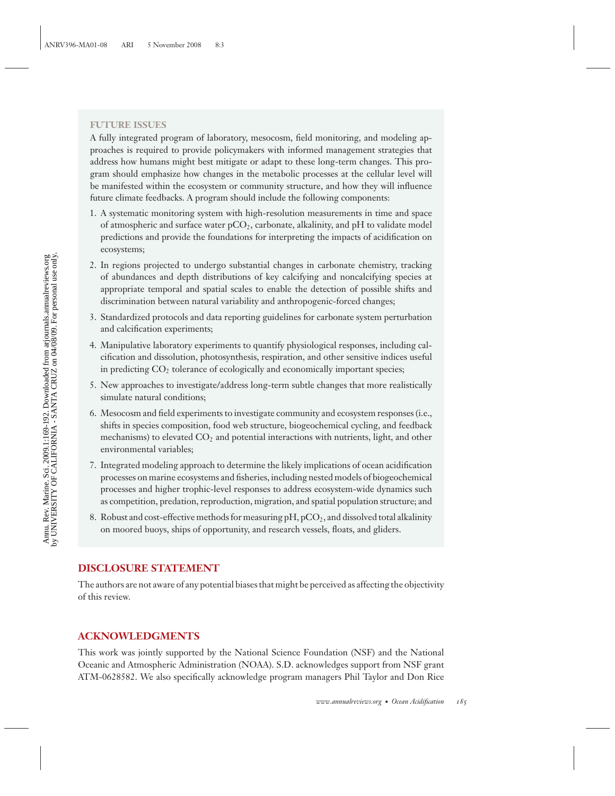#### **FUTURE ISSUES**

A fully integrated program of laboratory, mesocosm, field monitoring, and modeling approaches is required to provide policymakers with informed management strategies that address how humans might best mitigate or adapt to these long-term changes. This program should emphasize how changes in the metabolic processes at the cellular level will be manifested within the ecosystem or community structure, and how they will influence future climate feedbacks. A program should include the following components:

- 1. A systematic monitoring system with high-resolution measurements in time and space of atmospheric and surface water  $pCO<sub>2</sub>$ , carbonate, alkalinity, and pH to validate model predictions and provide the foundations for interpreting the impacts of acidification on ecosystems;
- 2. In regions projected to undergo substantial changes in carbonate chemistry, tracking of abundances and depth distributions of key calcifying and noncalcifying species at appropriate temporal and spatial scales to enable the detection of possible shifts and discrimination between natural variability and anthropogenic-forced changes;
- 3. Standardized protocols and data reporting guidelines for carbonate system perturbation and calcification experiments;
- 4. Manipulative laboratory experiments to quantify physiological responses, including calcification and dissolution, photosynthesis, respiration, and other sensitive indices useful in predicting  $CO<sub>2</sub>$  tolerance of ecologically and economically important species;
- 5. New approaches to investigate/address long-term subtle changes that more realistically simulate natural conditions;
- 6. Mesocosm and field experiments to investigate community and ecosystem responses (i.e., shifts in species composition, food web structure, biogeochemical cycling, and feedback mechanisms) to elevated  $CO<sub>2</sub>$  and potential interactions with nutrients, light, and other environmental variables;
- 7. Integrated modeling approach to determine the likely implications of ocean acidification processes on marine ecosystems and fisheries, including nested models of biogeochemical processes and higher trophic-level responses to address ecosystem-wide dynamics such as competition, predation, reproduction, migration, and spatial population structure; and
- 8. Robust and cost-effective methods for measuring  $pH$ ,  $pCO<sub>2</sub>$ , and dissolved total alkalinity on moored buoys, ships of opportunity, and research vessels, floats, and gliders.

### **DISCLOSURE STATEMENT**

The authors are not aware of any potential biases that might be perceived as affecting the objectivity of this review.

### **ACKNOWLEDGMENTS**

This work was jointly supported by the National Science Foundation (NSF) and the National Oceanic and Atmospheric Administration (NOAA). S.D. acknowledges support from NSF grant ATM-0628582. We also specifically acknowledge program managers Phil Taylor and Don Rice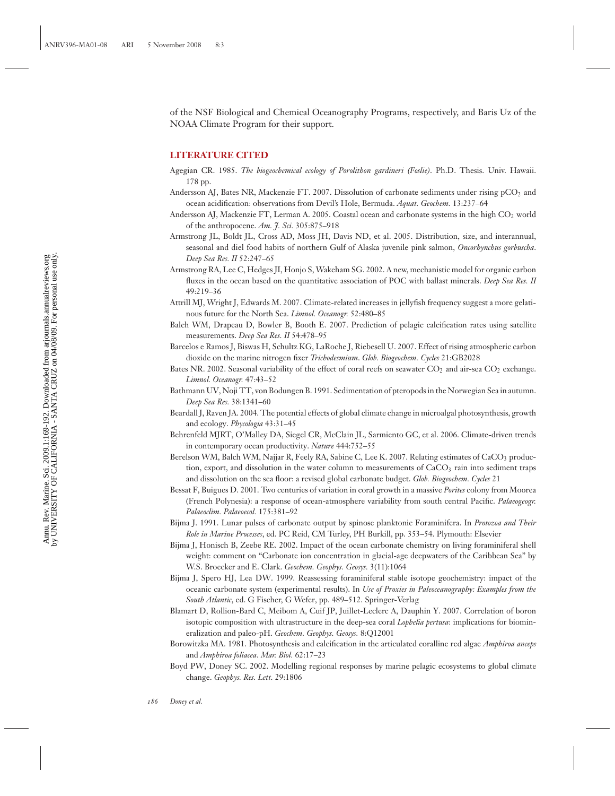of the NSF Biological and Chemical Oceanography Programs, respectively, and Baris Uz of the NOAA Climate Program for their support.

#### **LITERATURE CITED**

- Agegian CR. 1985. *The biogeochemical ecology of Porolithon gardineri (Foslie)*. Ph.D. Thesis. Univ. Hawaii. 178 pp.
- Andersson AJ, Bates NR, Mackenzie FT. 2007. Dissolution of carbonate sediments under rising  $pCO<sub>2</sub>$  and ocean acidification: observations from Devil's Hole, Bermuda. *Aquat. Geochem.* 13:237–64
- Andersson AJ, Mackenzie FT, Lerman A. 2005. Coastal ocean and carbonate systems in the high  $CO<sub>2</sub>$  world of the anthropocene. *Am. J. Sci.* 305:875–918
- Armstrong JL, Boldt JL, Cross AD, Moss JH, Davis ND, et al. 2005. Distribution, size, and interannual, seasonal and diel food habits of northern Gulf of Alaska juvenile pink salmon, *Oncorhynchus gorbuscha*. *Deep Sea Res. II* 52:247–65
- Armstrong RA, Lee C, Hedges JI, Honjo S, Wakeham SG. 2002. A new, mechanistic model for organic carbon fluxes in the ocean based on the quantitative association of POC with ballast minerals. *Deep Sea Res. II* 49:219–36
- Attrill MJ, Wright J, Edwards M. 2007. Climate-related increases in jellyfish frequency suggest a more gelatinous future for the North Sea. *Limnol. Oceanogr.* 52:480–85
- Balch WM, Drapeau D, Bowler B, Booth E. 2007. Prediction of pelagic calcification rates using satellite measurements. *Deep Sea Res. II* 54:478–95
- Barcelos e Ramos J, Biswas H, Schultz KG, LaRoche J, Riebesell U. 2007. Effect of rising atmospheric carbon dioxide on the marine nitrogen fixer *Trichodesmium*. *Glob. Biogeochem. Cycles* 21:GB2028
- Bates NR. 2002. Seasonal variability of the effect of coral reefs on seawater  $CO<sub>2</sub>$  and air-sea  $CO<sub>2</sub>$  exchange. *Limnol. Oceanogr.* 47:43–52
- Bathmann UV, Noji TT, von Bodungen B. 1991. Sedimentation of pteropods in the Norwegian Sea in autumn. *Deep Sea Res.* 38:1341–60
- Beardall J, Raven JA. 2004. The potential effects of global climate change in microalgal photosynthesis, growth and ecology. *Phycologia* 43:31–45
- Behrenfeld MJRT, O'Malley DA, Siegel CR, McClain JL, Sarmiento GC, et al. 2006. Climate-driven trends in contemporary ocean productivity. *Nature* 444:752–55
- Berelson WM, Balch WM, Najjar R, Feely RA, Sabine C, Lee K. 2007. Relating estimates of  $CaCO<sub>3</sub>$  production, export, and dissolution in the water column to measurements of  $CaCO<sub>3</sub>$  rain into sediment traps and dissolution on the sea floor: a revised global carbonate budget. *Glob. Biogeochem. Cycles* 21
- Bessat F, Buigues D. 2001. Two centuries of variation in coral growth in a massive *Porites* colony from Moorea (French Polynesia): a response of ocean-atmosphere variability from south central Pacific. *Palaeogeogr. Palaeoclim. Palaeoecol.* 175:381–92
- Bijma J. 1991. Lunar pulses of carbonate output by spinose planktonic Foraminifera. In *Protozoa and Their Role in Marine Processes*, ed. PC Reid, CM Turley, PH Burkill, pp. 353–54. Plymouth: Elsevier
- Bijma J, Honisch B, Zeebe RE. 2002. Impact of the ocean carbonate chemistry on living foraminiferal shell weight: comment on "Carbonate ion concentration in glacial-age deepwaters of the Caribbean Sea" by W.S. Broecker and E. Clark. *Geochem. Geophys. Geosys.* 3(11):1064
- Bijma J, Spero HJ, Lea DW. 1999. Reassessing foraminiferal stable isotope geochemistry: impact of the oceanic carbonate system (experimental results). In *Use of Proxies in Paleoceanography: Examples from the South Atlantic*, ed. G Fischer, G Wefer, pp. 489–512. Springer-Verlag
- Blamart D, Rollion-Bard C, Meibom A, Cuif JP, Juillet-Leclerc A, Dauphin Y. 2007. Correlation of boron isotopic composition with ultrastructure in the deep-sea coral *Lophelia pertusa*: implications for biomineralization and paleo-pH. *Geochem. Geophys. Geosys.* 8:Q12001
- Borowitzka MA. 1981. Photosynthesis and calcification in the articulated coralline red algae *Amphiroa anceps* and *Amphiroa foliacea*. *Mar. Biol.* 62:17–23
- Boyd PW, Doney SC. 2002. Modelling regional responses by marine pelagic ecosystems to global climate change. *Geophys. Res. Lett.* 29:1806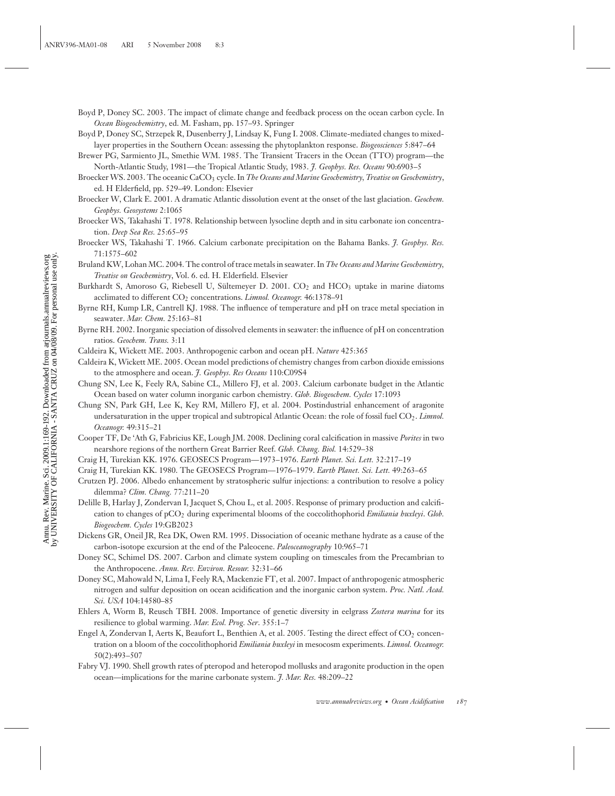- Boyd P, Doney SC. 2003. The impact of climate change and feedback process on the ocean carbon cycle. In *Ocean Biogeochemistry*, ed. M. Fasham, pp. 157–93. Springer
- Boyd P, Doney SC, Strzepek R, Dusenberry J, Lindsay K, Fung I. 2008. Climate-mediated changes to mixedlayer properties in the Southern Ocean: assessing the phytoplankton response. *Biogeosciences* 5:847–64
- Brewer PG, Sarmiento JL, Smethie WM. 1985. The Transient Tracers in the Ocean (TTO) program—the North-Atlantic Study, 1981—the Tropical Atlantic Study, 1983. *J. Geophys. Res. Oceans* 90:6903–5
- Broecker WS. 2003. The oceanic CaCO3 cycle. In *The Oceans and Marine Geochemistry, Treatise on Geochemistry*, ed. H Elderfield, pp. 529–49. London: Elsevier
- Broecker W, Clark E. 2001. A dramatic Atlantic dissolution event at the onset of the last glaciation. *Geochem. Geophys. Geosystems* 2:1065
- Broecker WS, Takahashi T. 1978. Relationship between lysocline depth and in situ carbonate ion concentration. *Deep Sea Res.* 25:65–95
- Broecker WS, Takahashi T. 1966. Calcium carbonate precipitation on the Bahama Banks. *J. Geophys. Res.* 71:1575–602
- Bruland KW, Lohan MC. 2004. The control of trace metals in seawater. In *The Oceans and Marine Geochemistry, Treatise on Geochemistry*, Vol. 6. ed. H. Elderfield. Elsevier
- Burkhardt S, Amoroso G, Riebesell U, Sültemeyer D. 2001.  $CO<sub>2</sub>$  and  $HCO<sub>3</sub>$  uptake in marine diatoms acclimated to different CO<sub>2</sub> concentrations. *Limnol. Oceanogr*. 46:1378-91
- Byrne RH, Kump LR, Cantrell KJ. 1988. The influence of temperature and pH on trace metal speciation in seawater. *Mar. Chem.* 25:163–81
- Byrne RH. 2002. Inorganic speciation of dissolved elements in seawater: the influence of pH on concentration ratios. *Geochem. Trans.* 3:11
- Caldeira K, Wickett ME. 2003. Anthropogenic carbon and ocean pH. *Nature* 425:365
- Caldeira K, Wickett ME. 2005. Ocean model predictions of chemistry changes from carbon dioxide emissions to the atmosphere and ocean. *J. Geophys. Res Oceans* 110:C09S4
- Chung SN, Lee K, Feely RA, Sabine CL, Millero FJ, et al. 2003. Calcium carbonate budget in the Atlantic Ocean based on water column inorganic carbon chemistry. *Glob. Biogeochem. Cycles* 17:1093
- Chung SN, Park GH, Lee K, Key RM, Millero FJ, et al. 2004. Postindustrial enhancement of aragonite undersaturation in the upper tropical and subtropical Atlantic Ocean: the role of fossil fuel CO<sub>2</sub>. *Limnol. Oceanogr.* 49:315–21
- Cooper TF, De 'Ath G, Fabricius KE, Lough JM. 2008. Declining coral calcification in massive *Porites* in two nearshore regions of the northern Great Barrier Reef. *Glob. Chang. Biol.* 14:529–38
- Craig H, Turekian KK. 1976. GEOSECS Program—1973–1976. *Earth Planet. Sci. Lett.* 32:217–19
- Craig H, Turekian KK. 1980. The GEOSECS Program—1976–1979. *Earth Planet. Sci. Lett.* 49:263–65
- Crutzen PJ. 2006. Albedo enhancement by stratospheric sulfur injections: a contribution to resolve a policy dilemma? *Clim. Chang.* 77:211–20
- Delille B, Harlay J, Zondervan I, Jacquet S, Chou L, et al. 2005. Response of primary production and calcification to changes of pCO2 during experimental blooms of the coccolithophorid *Emiliania huxleyi*. *Glob. Biogeochem. Cycles* 19:GB2023
- Dickens GR, Oneil JR, Rea DK, Owen RM. 1995. Dissociation of oceanic methane hydrate as a cause of the carbon-isotope excursion at the end of the Paleocene. *Paleoceanography* 10:965–71
- Doney SC, Schimel DS. 2007. Carbon and climate system coupling on timescales from the Precambrian to the Anthropocene. *Annu. Rev. Environ. Resour.* 32:31–66
- Doney SC, Mahowald N, Lima I, Feely RA, Mackenzie FT, et al. 2007. Impact of anthropogenic atmospheric nitrogen and sulfur deposition on ocean acidification and the inorganic carbon system. *Proc. Natl. Acad. Sci. USA* 104:14580–85
- Ehlers A, Worm B, Reusch TBH. 2008. Importance of genetic diversity in eelgrass *Zostera marina* for its resilience to global warming. *Mar. Ecol. Prog. Ser*. 355:1–7
- Engel A, Zondervan I, Aerts K, Beaufort L, Benthien A, et al. 2005. Testing the direct effect of CO<sub>2</sub> concentration on a bloom of the coccolithophorid *Emiliania huxleyi* in mesocosm experiments. *Limnol. Oceanogr.* 50(2):493–507
- Fabry VJ. 1990. Shell growth rates of pteropod and heteropod mollusks and aragonite production in the open ocean—implications for the marine carbonate system. *J. Mar. Res.* 48:209–22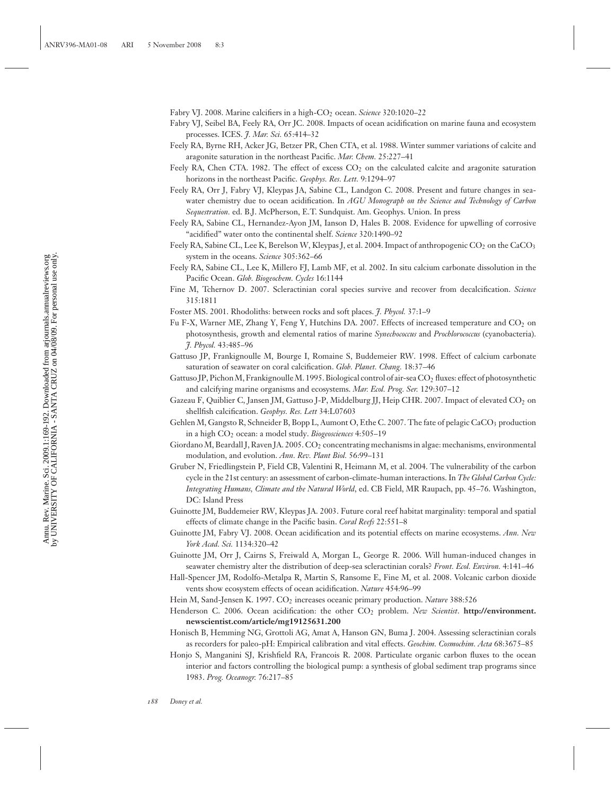Fabry VJ. 2008. Marine calcifiers in a high-CO<sub>2</sub> ocean. *Science* 320:1020–22

- Fabry VJ, Seibel BA, Feely RA, Orr JC. 2008. Impacts of ocean acidification on marine fauna and ecosystem processes. ICES. *J. Mar. Sci.* 65:414–32
- Feely RA, Byrne RH, Acker JG, Betzer PR, Chen CTA, et al. 1988. Winter summer variations of calcite and aragonite saturation in the northeast Pacific. *Mar. Chem.* 25:227–41
- Feely RA, Chen CTA. 1982. The effect of excess  $CO<sub>2</sub>$  on the calculated calcite and aragonite saturation horizons in the northeast Pacific. *Geophys. Res. Lett.* 9:1294–97
- Feely RA, Orr J, Fabry VJ, Kleypas JA, Sabine CL, Landgon C. 2008. Present and future changes in seawater chemistry due to ocean acidification. In *AGU Monograph on the Science and Technology of Carbon Sequestration.* ed. B.J. McPherson, E.T. Sundquist. Am. Geophys. Union. In press
- Feely RA, Sabine CL, Hernandez-Ayon JM, Ianson D, Hales B. 2008. Evidence for upwelling of corrosive "acidified" water onto the continental shelf. *Science* 320:1490–92
- Feely RA, Sabine CL, Lee K, Berelson W, Kleypas J, et al. 2004. Impact of anthropogenic CO<sub>2</sub> on the CaCO<sub>3</sub> system in the oceans. *Science* 305:362–66
- Feely RA, Sabine CL, Lee K, Millero FJ, Lamb MF, et al. 2002. In situ calcium carbonate dissolution in the Pacific Ocean. *Glob. Biogeochem. Cycles* 16:1144
- Fine M, Tchernov D. 2007. Scleractinian coral species survive and recover from decalcification. *Science* 315:1811
- Foster MS. 2001. Rhodoliths: between rocks and soft places. *J. Phycol.* 37:1–9
- Fu F-X, Warner ME, Zhang Y, Feng Y, Hutchins DA. 2007. Effects of increased temperature and CO<sub>2</sub> on photosynthesis, growth and elemental ratios of marine *Synechococcus* and *Prochlorococcus* (cyanobacteria). *J. Phycol.* 43:485–96
- Gattuso JP, Frankignoulle M, Bourge I, Romaine S, Buddemeier RW. 1998. Effect of calcium carbonate saturation of seawater on coral calcification. *Glob. Planet. Chang.* 18:37–46
- Gattuso JP, Pichon M, Frankignoulle M. 1995. Biological control of air-sea CO<sub>2</sub> fluxes: effect of photosynthetic and calcifying marine organisms and ecosystems. *Mar. Ecol. Prog. Ser.* 129:307–12
- Gazeau F, Quiblier C, Jansen JM, Gattuso J-P, Middelburg JJ, Heip CHR. 2007. Impact of elevated CO<sub>2</sub> on shellfish calcification. *Geophys. Res. Lett* 34:L07603
- Gehlen M, Gangsto R, Schneider B, Bopp L, Aumont O, Ethe C. 2007. The fate of pelagic CaCO<sub>3</sub> production in a high CO2 ocean: a model study. *Biogeosciences* 4:505–19
- Giordano M, Beardall J, Raven JA. 2005. CO<sub>2</sub> concentrating mechanisms in algae: mechanisms, environmental modulation, and evolution. *Ann. Rev. Plant Biol.* 56:99–131
- Gruber N, Friedlingstein P, Field CB, Valentini R, Heimann M, et al. 2004. The vulnerability of the carbon cycle in the 21st century: an assessment of carbon-climate-human interactions. In *The Global Carbon Cycle: Integrating Humans, Climate and the Natural World*, ed. CB Field, MR Raupach, pp. 45–76. Washington, DC: Island Press
- Guinotte JM, Buddemeier RW, Kleypas JA. 2003. Future coral reef habitat marginality: temporal and spatial effects of climate change in the Pacific basin. *Coral Reefs* 22:551–8
- Guinotte JM, Fabry VJ. 2008. Ocean acidification and its potential effects on marine ecosystems. *Ann. New York Acad. Sci.* 1134:320–42
- Guinotte JM, Orr J, Cairns S, Freiwald A, Morgan L, George R. 2006. Will human-induced changes in seawater chemistry alter the distribution of deep-sea scleractinian corals? *Front. Ecol. Environ.* 4:141–46
- Hall-Spencer JM, Rodolfo-Metalpa R, Martin S, Ransome E, Fine M, et al. 2008. Volcanic carbon dioxide vents show ecosystem effects of ocean acidification. *Nature* 454:96–99
- Hein M, Sand-Jensen K. 1997. CO<sub>2</sub> increases oceanic primary production. *Nature* 388:526
- Henderson C. 2006. Ocean acidification: the other CO<sub>2</sub> problem. *New Scientist*. **http://environment. newscientist.com/article/mg19125631.200**
- Honisch B, Hemming NG, Grottoli AG, Amat A, Hanson GN, Buma J. 2004. Assessing scleractinian corals as recorders for paleo-pH: Empirical calibration and vital effects. *Geochim. Cosmochim. Acta* 68:3675–85
- Honjo S, Manganini SJ, Krishfield RA, Francois R. 2008. Particulate organic carbon fluxes to the ocean interior and factors controlling the biological pump: a synthesis of global sediment trap programs since 1983. *Prog. Oceanogr.* 76:217–85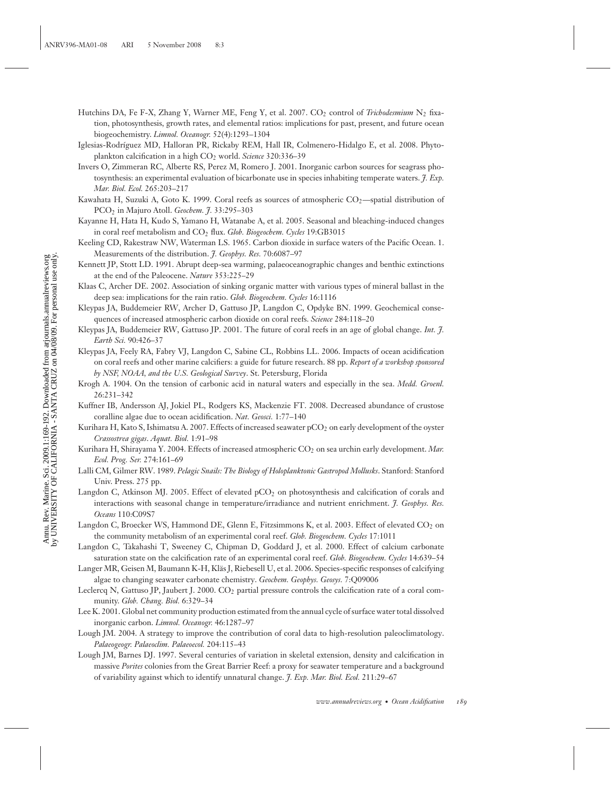- Hutchins DA, Fe F-X, Zhang Y, Warner ME, Feng Y, et al. 2007. CO<sub>2</sub> control of *Trichodesmium* N<sub>2</sub> fixation, photosynthesis, growth rates, and elemental ratios: implications for past, present, and future ocean biogeochemistry. *Limnol. Oceanogr.* 52(4):1293–1304
- Iglesias-Rodríguez MD, Halloran PR, Rickaby REM, Hall IR, Colmenero-Hidalgo E, et al. 2008. Phytoplankton calcification in a high CO<sub>2</sub> world. *Science* 320:336-39
- Invers O, Zimmeran RC, Alberte RS, Perez M, Romero J. 2001. Inorganic carbon sources for seagrass photosynthesis: an experimental evaluation of bicarbonate use in species inhabiting temperate waters. *J. Exp. Mar. Biol. Ecol.* 265:203–217
- Kawahata H, Suzuki A, Goto K. 1999. Coral reefs as sources of atmospheric CO<sub>2</sub>—spatial distribution of PCO2 in Majuro Atoll. *Geochem. J.* 33:295–303
- Kayanne H, Hata H, Kudo S, Yamano H, Watanabe A, et al. 2005. Seasonal and bleaching-induced changes in coral reef metabolism and CO<sub>2</sub> flux. *Glob. Biogeochem. Cycles* 19:GB3015
- Keeling CD, Rakestraw NW, Waterman LS. 1965. Carbon dioxide in surface waters of the Pacific Ocean. 1. Measurements of the distribution. *J. Geophys. Res.* 70:6087–97
- Kennett JP, Stott LD. 1991. Abrupt deep-sea warming, palaeoceanographic changes and benthic extinctions at the end of the Paleocene. *Nature* 353:225–29
- Klaas C, Archer DE. 2002. Association of sinking organic matter with various types of mineral ballast in the deep sea: implications for the rain ratio. *Glob. Biogeochem. Cycles* 16:1116
- Kleypas JA, Buddemeier RW, Archer D, Gattuso JP, Langdon C, Opdyke BN. 1999. Geochemical consequences of increased atmospheric carbon dioxide on coral reefs. *Science* 284:118–20
- Kleypas JA, Buddemeier RW, Gattuso JP. 2001. The future of coral reefs in an age of global change. *Int. J. Earth Sci.* 90:426–37
- Kleypas JA, Feely RA, Fabry VJ, Langdon C, Sabine CL, Robbins LL. 2006. Impacts of ocean acidification on coral reefs and other marine calcifiers: a guide for future research. 88 pp. *Report of a workshop sponsored by NSF, NOAA, and the U.S. Geological Survey*. St. Petersburg, Florida
- Krogh A. 1904. On the tension of carbonic acid in natural waters and especially in the sea. *Medd. Groenl.* 26:231–342
- Kuffner IB, Andersson AJ, Jokiel PL, Rodgers KS, Mackenzie FT. 2008. Decreased abundance of crustose coralline algae due to ocean acidification. *Nat. Geosci.* 1:77–140
- Kurihara H, Kato S, Ishimatsu A. 2007. Effects of increased seawater pCO<sub>2</sub> on early development of the oyster *Crassostrea gigas*. *Aquat. Biol.* 1:91–98
- Kurihara H, Shirayama Y. 2004. Effects of increased atmospheric CO<sub>2</sub> on sea urchin early development. Mar. *Ecol. Prog. Ser.* 274:161–69
- Lalli CM, Gilmer RW. 1989. *Pelagic Snails: The Biology of Holoplanktonic Gastropod Mollusks*. Stanford: Stanford Univ. Press. 275 pp.
- Langdon C, Atkinson MJ. 2005. Effect of elevated pCO<sub>2</sub> on photosynthesis and calcification of corals and interactions with seasonal change in temperature/irradiance and nutrient enrichment. *J. Geophys. Res. Oceans* 110:C09S7
- Langdon C, Broecker WS, Hammond DE, Glenn E, Fitzsimmons K, et al. 2003. Effect of elevated CO<sub>2</sub> on the community metabolism of an experimental coral reef. *Glob. Biogeochem. Cycles* 17:1011
- Langdon C, Takahashi T, Sweeney C, Chipman D, Goddard J, et al. 2000. Effect of calcium carbonate saturation state on the calcification rate of an experimental coral reef. *Glob. Biogeochem. Cycles* 14:639–54
- Langer MR, Geisen M, Baumann K-H, Kläs J, Riebesell U, et al. 2006. Species-specific responses of calcifying algae to changing seawater carbonate chemistry. *Geochem. Geophys. Geosys.* 7:Q09006
- Leclercq N, Gattuso JP, Jaubert J. 2000. CO<sub>2</sub> partial pressure controls the calcification rate of a coral community. *Glob. Chang. Biol.* 6:329–34
- Lee K. 2001. Global net community production estimated from the annual cycle of surface water total dissolved inorganic carbon. *Limnol. Oceanogr.* 46:1287–97
- Lough JM. 2004. A strategy to improve the contribution of coral data to high-resolution paleoclimatology. *Palaeogeogr. Palaeoclim. Palaeoecol.* 204:115–43
- Lough JM, Barnes DJ. 1997. Several centuries of variation in skeletal extension, density and calcification in massive *Porites* colonies from the Great Barrier Reef: a proxy for seawater temperature and a background of variability against which to identify unnatural change. *J. Exp. Mar. Biol. Ecol.* 211:29–67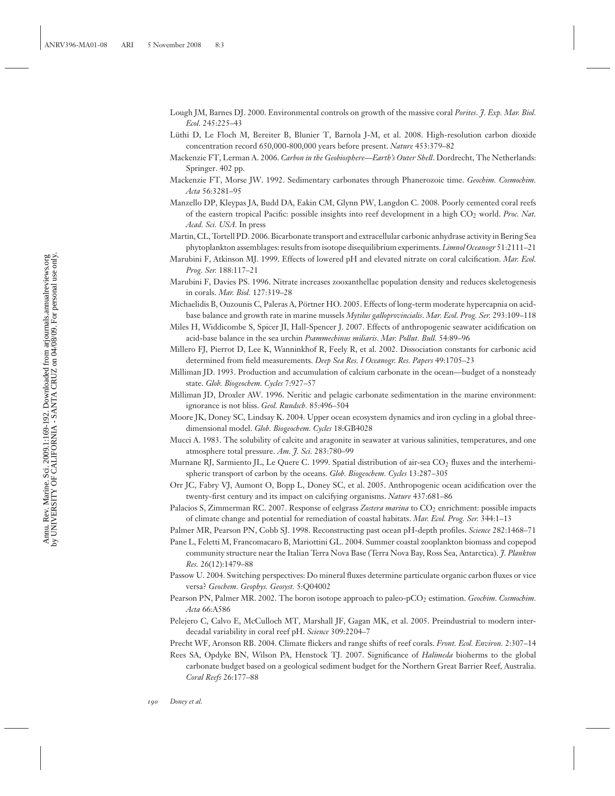- Lough JM, Barnes DJ. 2000. Environmental controls on growth of the massive coral *Porites*. *J. Exp. Mar. Biol. Ecol.* 245:225–43
- Lüthi D, Le Floch M, Bereiter B, Blunier T, Barnola J-M, et al. 2008. High-resolution carbon dioxide concentration record 650,000-800,000 years before present. *Nature* 453:379–82
- Mackenzie FT, Lerman A. 2006. *Carbon in the Geobiosphere—Earth's Outer Shell*. Dordrecht, The Netherlands: Springer. 402 pp.
- Mackenzie FT, Morse JW. 1992. Sedimentary carbonates through Phanerozoic time. *Geochim. Cosmochim. Acta* 56:3281–95
- Manzello DP, Kleypas JA, Budd DA, Eakin CM, Glynn PW, Langdon C. 2008. Poorly cemented coral reefs of the eastern tropical Pacific: possible insights into reef development in a high CO2 world. *Proc. Nat. Acad. Sci. USA.* In press
- Martin, CL, Tortell PD. 2006. Bicarbonate transport and extracellular carbonic anhydrase activity in Bering Sea phytoplankton assemblages: results from isotope disequilibrium experiments. *Limnol Oceanogr* 51:2111–21
- Marubini F, Atkinson MJ. 1999. Effects of lowered pH and elevated nitrate on coral calcification. *Mar. Ecol. Prog. Ser.* 188:117–21
- Marubini F, Davies PS. 1996. Nitrate increases zooxanthellae population density and reduces skeletogenesis in corals. *Mar. Biol.* 127:319–28
- Michaelidis B, Ouzounis C, Paleras A, Portner HO. 2005. Effects of long-term moderate hypercapnia on acid- ¨ base balance and growth rate in marine mussels *Mytilus galloprovincialis*. *Mar. Ecol. Prog. Ser.* 293:109–118
- Miles H, Widdicombe S, Spicer JI, Hall-Spencer J. 2007. Effects of anthropogenic seawater acidification on acid-base balance in the sea urchin *Psammechinus miliaris*. *Mar. Pollut. Bull.* 54:89–96
- Millero FJ, Pierrot D, Lee K, Wanninkhof R, Feely R, et al. 2002. Dissociation constants for carbonic acid determined from field measurements. *Deep Sea Res. I Oceanogr. Res. Papers* 49:1705–23
- Milliman JD. 1993. Production and accumulation of calcium carbonate in the ocean—budget of a nonsteady state. *Glob. Biogeochem. Cycles* 7:927–57
- Milliman JD, Droxler AW. 1996. Neritic and pelagic carbonate sedimentation in the marine environment: ignorance is not bliss. *Geol. Rundsch.* 85:496–504
- Moore JK, Doney SC, Lindsay K. 2004. Upper ocean ecosystem dynamics and iron cycling in a global threedimensional model. *Glob. Biogeochem. Cycles* 18:GB4028
- Mucci A. 1983. The solubility of calcite and aragonite in seawater at various salinities, temperatures, and one atmosphere total pressure. *Am. J. Sci.* 283:780–99
- Murnane RJ, Sarmiento JL, Le Quere C. 1999. Spatial distribution of air-sea CO<sub>2</sub> fluxes and the interhemispheric transport of carbon by the oceans. *Glob. Biogeochem. Cycles* 13:287–305
- Orr JC, Fabry VJ, Aumont O, Bopp L, Doney SC, et al. 2005. Anthropogenic ocean acidification over the twenty-first century and its impact on calcifying organisms. *Nature* 437:681–86
- Palacios S, Zimmerman RC. 2007. Response of eelgrass Zostera marina to CO<sub>2</sub> enrichment: possible impacts of climate change and potential for remediation of coastal habitats. *Mar. Ecol. Prog. Ser.* 344:1–13
- Palmer MR, Pearson PN, Cobb SJ. 1998. Reconstructing past ocean pH-depth profiles. *Science* 282:1468–71
- Pane L, Feletti M, Francomacaro B, Mariottini GL. 2004. Summer coastal zooplankton biomass and copepod community structure near the Italian Terra Nova Base (Terra Nova Bay, Ross Sea, Antarctica). *J. Plankton Res.* 26(12):1479–88
- Passow U. 2004. Switching perspectives: Do mineral fluxes determine particulate organic carbon fluxes or vice versa? *Geochem. Geophys. Geosyst.* 5:Q04002
- Pearson PN, Palmer MR. 2002. The boron isotope approach to paleo-pCO<sub>2</sub> estimation. *Geochim. Cosmochim. Acta* 66:A586
- Pelejero C, Calvo E, McCulloch MT, Marshall JF, Gagan MK, et al. 2005. Preindustrial to modern interdecadal variability in coral reef pH. *Science* 309:2204–7
- Precht WF, Aronson RB. 2004. Climate flickers and range shifts of reef corals. *Front. Ecol. Environ.* 2:307–14
- Rees SA, Opdyke BN, Wilson PA, Henstock TJ. 2007. Significance of *Halimeda* bioherms to the global carbonate budget based on a geological sediment budget for the Northern Great Barrier Reef, Australia. *Coral Reefs* 26:177–88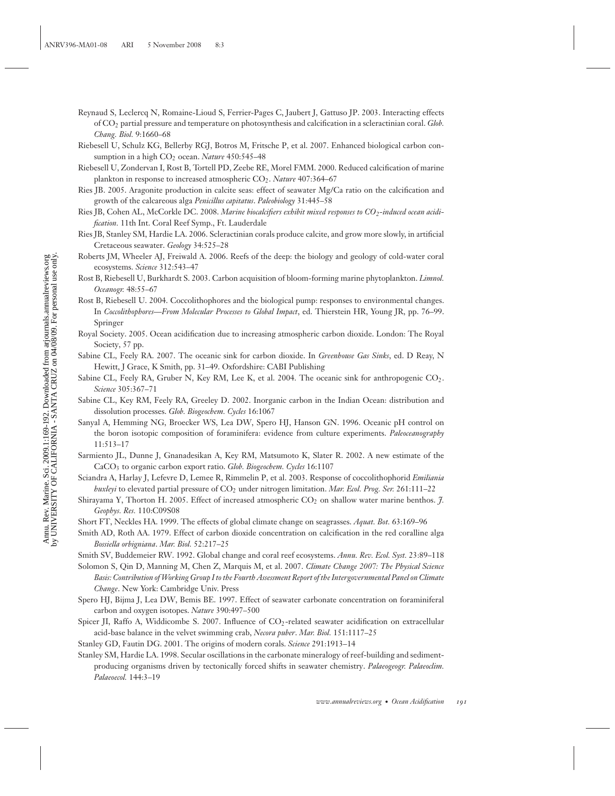- Reynaud S, Leclercq N, Romaine-Lioud S, Ferrier-Pages C, Jaubert J, Gattuso JP. 2003. Interacting effects of CO2 partial pressure and temperature on photosynthesis and calcification in a scleractinian coral. *Glob. Chang. Biol.* 9:1660–68
- Riebesell U, Schulz KG, Bellerby RGJ, Botros M, Fritsche P, et al. 2007. Enhanced biological carbon consumption in a high CO<sub>2</sub> ocean. *Nature* 450:545-48
- Riebesell U, Zondervan I, Rost B, Tortell PD, Zeebe RE, Morel FMM. 2000. Reduced calcification of marine plankton in response to increased atmospheric CO<sub>2</sub>. *Nature* 407:364-67
- Ries JB. 2005. Aragonite production in calcite seas: effect of seawater Mg/Ca ratio on the calcification and growth of the calcareous alga *Penicillus capitatus*. *Paleobiology* 31:445–58
- Ries JB, Cohen AL, McCorkle DC. 2008. *Marine biocalcifiers exhibit mixed responses to CO<sub>2</sub>-induced ocean acidification.* 11th Int. Coral Reef Symp., Ft. Lauderdale
- Ries JB, Stanley SM, Hardie LA. 2006. Scleractinian corals produce calcite, and grow more slowly, in artificial Cretaceous seawater. *Geology* 34:525–28
- Roberts JM, Wheeler AJ, Freiwald A. 2006. Reefs of the deep: the biology and geology of cold-water coral ecosystems. *Science* 312:543–47
- Rost B, Riebesell U, Burkhardt S. 2003. Carbon acquisition of bloom-forming marine phytoplankton. *Limnol. Oceanogr.* 48:55–67
- Rost B, Riebesell U. 2004. Coccolithophores and the biological pump: responses to environmental changes. In *Coccolithophores—From Molecular Processes to Global Impact*, ed. Thierstein HR, Young JR, pp. 76–99. Springer
- Royal Society. 2005. Ocean acidification due to increasing atmospheric carbon dioxide. London: The Royal Society, 57 pp.
- Sabine CL, Feely RA. 2007. The oceanic sink for carbon dioxide. In *Greenhouse Gas Sinks*, ed. D Reay, N Hewitt, J Grace, K Smith, pp. 31–49. Oxfordshire: CABI Publishing
- Sabine CL, Feely RA, Gruber N, Key RM, Lee K, et al. 2004. The oceanic sink for anthropogenic  $CO<sub>2</sub>$ . *Science* 305:367–71
- Sabine CL, Key RM, Feely RA, Greeley D. 2002. Inorganic carbon in the Indian Ocean: distribution and dissolution processes. *Glob. Biogeochem. Cycles* 16:1067
- Sanyal A, Hemming NG, Broecker WS, Lea DW, Spero HJ, Hanson GN. 1996. Oceanic pH control on the boron isotopic composition of foraminifera: evidence from culture experiments. *Paleoceanography* 11:513–17
- Sarmiento JL, Dunne J, Gnanadesikan A, Key RM, Matsumoto K, Slater R. 2002. A new estimate of the CaCO3 to organic carbon export ratio. *Glob. Biogeochem. Cycles* 16:1107
- Sciandra A, Harlay J, Lefevre D, Lemee R, Rimmelin P, et al. 2003. Response of coccolithophorid *Emiliania huxleyi* to elevated partial pressure of CO2 under nitrogen limitation. *Mar. Ecol. Prog. Ser.* 261:111–22
- Shirayama Y, Thorton H. 2005. Effect of increased atmospheric CO<sub>2</sub> on shallow water marine benthos. 7. *Geophys. Res.* 110:C09S08
- Short FT, Neckles HA. 1999. The effects of global climate change on seagrasses. *Aquat. Bot.* 63:169–96
- Smith AD, Roth AA. 1979. Effect of carbon dioxide concentration on calcification in the red coralline alga *Bossiella orbigniana*. *Mar. Biol.* 52:217–25
- Smith SV, Buddemeier RW. 1992. Global change and coral reef ecosystems. *Annu. Rev. Ecol. Syst.* 23:89–118
- Solomon S, Qin D, Manning M, Chen Z, Marquis M, et al. 2007. *Climate Change 2007: The Physical Science Basis: Contribution of Working Group I to the Fourth Assessment Report of the Intergovernmental Panel on Climate Change*. New York: Cambridge Univ. Press
- Spero HJ, Bijma J, Lea DW, Bemis BE. 1997. Effect of seawater carbonate concentration on foraminiferal carbon and oxygen isotopes. *Nature* 390:497–500
- Spicer JI, Raffo A, Widdicombe S. 2007. Influence of CO<sub>2</sub>-related seawater acidification on extracellular acid-base balance in the velvet swimming crab, *Necora puber*. *Mar. Biol.* 151:1117–25
- Stanley GD, Fautin DG. 2001. The origins of modern corals. *Science* 291:1913–14
- Stanley SM, Hardie LA. 1998. Secular oscillations in the carbonate mineralogy of reef-building and sedimentproducing organisms driven by tectonically forced shifts in seawater chemistry. *Palaeogeogr. Palaeoclim. Palaeoecol.* 144:3–19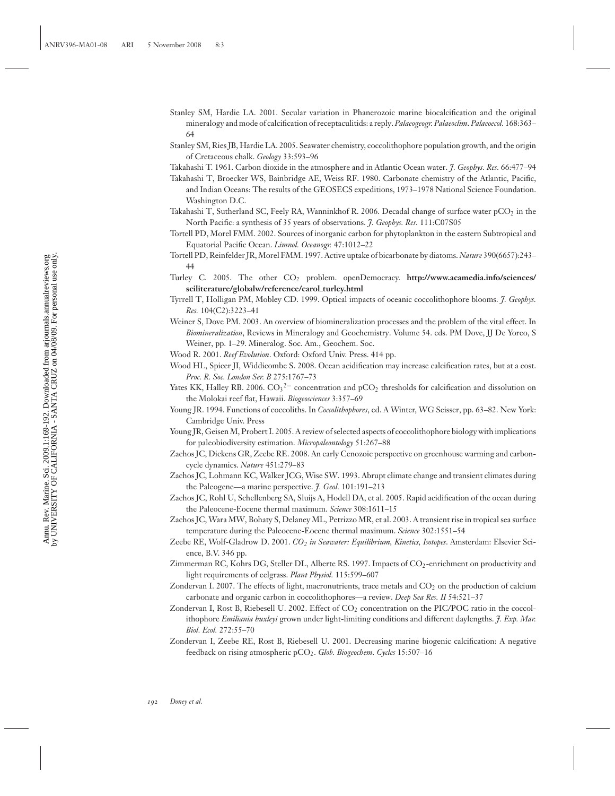- Stanley SM, Hardie LA. 2001. Secular variation in Phanerozoic marine biocalcification and the original mineralogy and mode of calcification of receptaculitids: a reply. *Palaeogeogr. Palaeoclim. Palaeoecol.* 168:363– 64
- Stanley SM, Ries JB, Hardie LA. 2005. Seawater chemistry, coccolithophore population growth, and the origin of Cretaceous chalk. *Geology* 33:593–96
- Takahashi T. 1961. Carbon dioxide in the atmosphere and in Atlantic Ocean water. *J. Geophys. Res.* 66:477–94
- Takahashi T, Broecker WS, Bainbridge AE, Weiss RF. 1980. Carbonate chemistry of the Atlantic, Pacific, and Indian Oceans: The results of the GEOSECS expeditions, 1973–1978 National Science Foundation. Washington D.C.
- Takahashi T, Sutherland SC, Feely RA, Wanninkhof R. 2006. Decadal change of surface water  $pCO_2$  in the North Pacific: a synthesis of 35 years of observations. *J. Geophys. Res.* 111:C07S05
- Tortell PD, Morel FMM. 2002. Sources of inorganic carbon for phytoplankton in the eastern Subtropical and Equatorial Pacific Ocean. *Limnol. Oceanogr.* 47:1012–22
- Tortell PD, Reinfelder JR, Morel FMM. 1997. Active uptake of bicarbonate by diatoms. *Nature* 390(6657):243– 44
- Turley C. 2005. The other CO2 problem. openDemocracy. **http://www.acamedia.info/sciences/ sciliterature/globalw/reference/carol turley.html**
- Tyrrell T, Holligan PM, Mobley CD. 1999. Optical impacts of oceanic coccolithophore blooms. *J. Geophys. Res.* 104(C2):3223–41
- Weiner S, Dove PM. 2003. An overview of biomineralization processes and the problem of the vital effect. In *Biomineralization*, Reviews in Mineralogy and Geochemistry. Volume 54. eds. PM Dove, JJ De Yoreo, S Weiner, pp. 1–29. Mineralog. Soc. Am., Geochem. Soc.
- Wood R. 2001. *Reef Evolution*. Oxford: Oxford Univ. Press. 414 pp.
- Wood HL, Spicer JI, Widdicombe S. 2008. Ocean acidification may increase calcification rates, but at a cost. *Proc. R. Soc. London Ser. B* 275:1767–73
- Yates KK, Halley RB. 2006.  $CO_3^2$  concentration and pCO<sub>2</sub> thresholds for calcification and dissolution on the Molokai reef flat, Hawaii. *Biogeosciences* 3:357–69
- Young JR. 1994. Functions of coccoliths. In *Coccolithophores*, ed. A Winter, WG Seisser, pp. 63–82. New York: Cambridge Univ. Press
- Young JR, Geisen M, Probert I. 2005. A review of selected aspects of coccolithophore biology with implications for paleobiodiversity estimation. *Micropaleontology* 51:267–88
- Zachos JC, Dickens GR, Zeebe RE. 2008. An early Cenozoic perspective on greenhouse warming and carboncycle dynamics. *Nature* 451:279–83
- Zachos JC, Lohmann KC, Walker JCG, Wise SW. 1993. Abrupt climate change and transient climates during the Paleogene—a marine perspective. *J. Geol.* 101:191–213
- Zachos JC, Rohl U, Schellenberg SA, Sluijs A, Hodell DA, et al. 2005. Rapid acidification of the ocean during the Paleocene-Eocene thermal maximum. *Science* 308:1611–15
- Zachos JC, Wara MW, Bohaty S, Delaney ML, Petrizzo MR, et al. 2003. A transient rise in tropical sea surface temperature during the Paleocene-Eocene thermal maximum. *Science* 302:1551–54
- Zeebe RE, Wolf-Gladrow D. 2001. *CO2 in Seawater: Equilibrium, Kinetics, Isotopes*. Amsterdam: Elsevier Science, B.V. 346 pp.
- Zimmerman RC, Kohrs DG, Steller DL, Alberte RS. 1997. Impacts of CO2-enrichment on productivity and light requirements of eelgrass. *Plant Physiol.* 115:599–607
- Zondervan I. 2007. The effects of light, macronutrients, trace metals and  $CO<sub>2</sub>$  on the production of calcium carbonate and organic carbon in coccolithophores—a review. *Deep Sea Res. II* 54:521–37
- Zondervan I, Rost B, Riebesell U. 2002. Effect of  $CO<sub>2</sub>$  concentration on the PIC/POC ratio in the coccolithophore *Emiliania huxleyi* grown under light-limiting conditions and different daylengths. *J. Exp. Mar. Biol. Ecol.* 272:55–70
- Zondervan I, Zeebe RE, Rost B, Riebesell U. 2001. Decreasing marine biogenic calcification: A negative feedback on rising atmospheric pCO2. *Glob. Biogeochem. Cycles* 15:507–16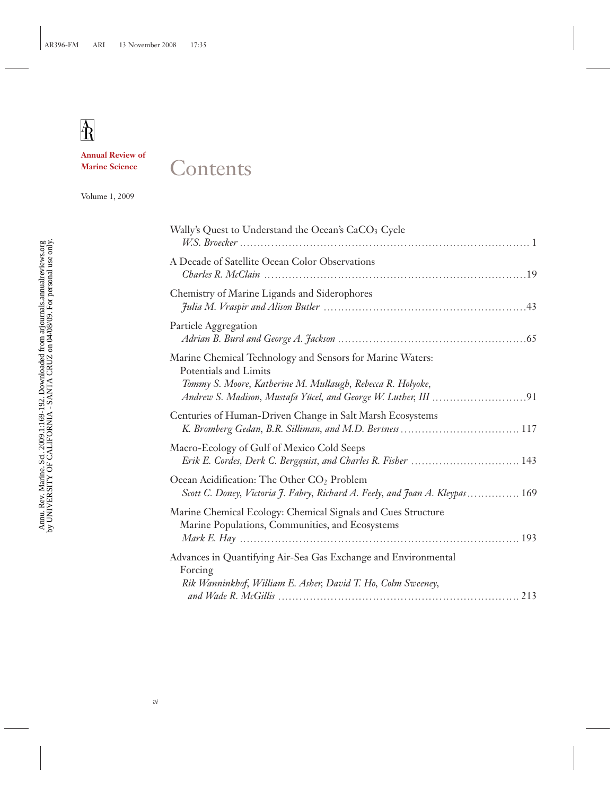**Annual Review of Marine Science**

 $\mathbf{A}$ 

## **Contents**

Volume 1, 2009

| Wally's Quest to Understand the Ocean's CaCO <sub>3</sub> Cycle                                                                                  |
|--------------------------------------------------------------------------------------------------------------------------------------------------|
| A Decade of Satellite Ocean Color Observations                                                                                                   |
| Chemistry of Marine Ligands and Siderophores                                                                                                     |
| Particle Aggregation                                                                                                                             |
| Marine Chemical Technology and Sensors for Marine Waters:<br>Potentials and Limits<br>Tommy S. Moore, Katherine M. Mullaugh, Rebecca R. Holyoke, |
| Centuries of Human-Driven Change in Salt Marsh Ecosystems                                                                                        |
| Macro-Ecology of Gulf of Mexico Cold Seeps<br>Erik E. Cordes, Derk C. Bergquist, and Charles R. Fisher  143                                      |
| Ocean Acidification: The Other CO <sub>2</sub> Problem<br>Scott C. Doney, Victoria J. Fabry, Richard A. Feely, and Joan A. Kleypas  169          |
| Marine Chemical Ecology: Chemical Signals and Cues Structure<br>Marine Populations, Communities, and Ecosystems                                  |
| Advances in Quantifying Air-Sea Gas Exchange and Environmental<br>Forcing<br>Rik Wanninkhof, William E. Asher, David T. Ho, Colm Sweeney,        |